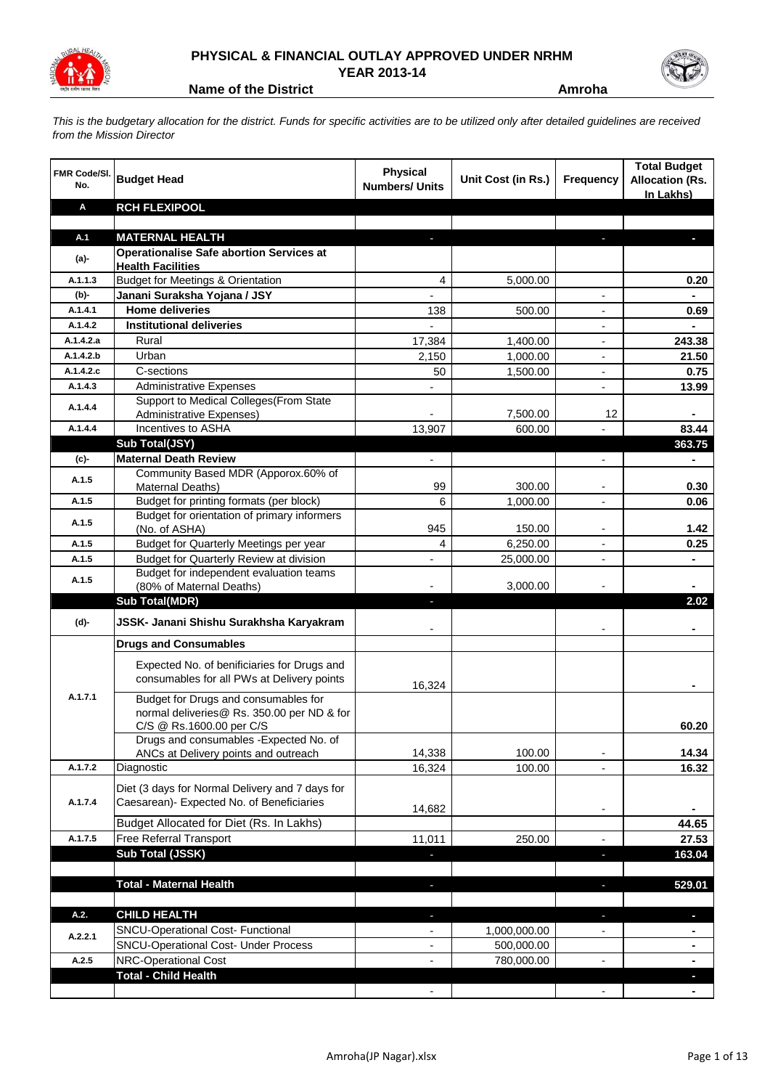

## **PHYSICAL & FINANCIAL OUTLAY APPROVED UNDER NRHM**

**YEAR 2013-14**

**Name of the District Amroha** 

*This is the budgetary allocation for the district. Funds for specific activities are to be utilized only after detailed guidelines are received from the Mission Director*

| <b>FMR Code/SI.</b><br>No. | <b>Budget Head</b>                                                       | <b>Physical</b><br><b>Numbers/ Units</b> | Unit Cost (in Rs.)         | <b>Frequency</b>              | <b>Total Budget</b><br><b>Allocation (Rs.</b><br>In Lakhs) |
|----------------------------|--------------------------------------------------------------------------|------------------------------------------|----------------------------|-------------------------------|------------------------------------------------------------|
| Α                          | <b>RCH FLEXIPOOL</b>                                                     |                                          |                            |                               |                                                            |
|                            |                                                                          |                                          |                            |                               |                                                            |
| A.1                        | <b>MATERNAL HEALTH</b>                                                   |                                          |                            |                               |                                                            |
| $(a)$ -                    | <b>Operationalise Safe abortion Services at</b>                          |                                          |                            |                               |                                                            |
| A.1.1.3                    | <b>Health Facilities</b><br><b>Budget for Meetings &amp; Orientation</b> | 4                                        | 5,000.00                   |                               | 0.20                                                       |
| (b)-                       | Janani Suraksha Yojana / JSY                                             | $\overline{\phantom{0}}$                 |                            | $\overline{\phantom{a}}$      | $\blacksquare$                                             |
| A.1.4.1                    | <b>Home deliveries</b>                                                   | 138                                      | 500.00                     | $\overline{\phantom{a}}$      | 0.69                                                       |
| A.1.4.2                    | <b>Institutional deliveries</b>                                          | $\overline{\phantom{0}}$                 |                            | $\overline{\phantom{a}}$      | -                                                          |
| A.1.4.2.a                  | Rural                                                                    | 17,384                                   | 1,400.00                   |                               | 243.38                                                     |
| A.1.4.2.b                  | Urban                                                                    | 2,150                                    | 1,000.00                   | $\overline{\phantom{0}}$      | 21.50                                                      |
| A.1.4.2.c                  | C-sections                                                               | 50                                       | 1,500.00                   |                               | 0.75                                                       |
| A.1.4.3                    | <b>Administrative Expenses</b>                                           |                                          |                            |                               | 13.99                                                      |
| A.1.4.4                    | Support to Medical Colleges (From State                                  |                                          |                            |                               |                                                            |
|                            | Administrative Expenses)                                                 |                                          | 7,500.00                   | 12                            |                                                            |
| A.1.4.4                    | Incentives to ASHA                                                       | 13,907                                   | 600.00                     | $\overline{a}$                | 83.44                                                      |
|                            | Sub Total(JSY)                                                           |                                          |                            |                               | 363.75                                                     |
| (c)                        | <b>Maternal Death Review</b>                                             | $\overline{\phantom{0}}$                 |                            | $\overline{\phantom{a}}$      | $\blacksquare$                                             |
| A.1.5                      | Community Based MDR (Apporox.60% of<br>Maternal Deaths)                  | 99                                       | 300.00                     |                               | 0.30                                                       |
| A.1.5                      | Budget for printing formats (per block)                                  | 6                                        | 1,000.00                   | $\overline{a}$                | 0.06                                                       |
|                            | Budget for orientation of primary informers                              |                                          |                            |                               |                                                            |
| A.1.5                      | (No. of ASHA)                                                            | 945                                      | 150.00                     | $\overline{\phantom{a}}$      | 1.42                                                       |
| A.1.5                      | Budget for Quarterly Meetings per year                                   | 4                                        | 6,250.00                   | $\overline{\phantom{a}}$      | 0.25                                                       |
| A.1.5                      | <b>Budget for Quarterly Review at division</b>                           | $\overline{\phantom{0}}$                 | 25,000.00                  | $\overline{\phantom{a}}$      | $\blacksquare$                                             |
| A.1.5                      | Budget for independent evaluation teams                                  |                                          |                            |                               |                                                            |
|                            | (80% of Maternal Deaths)                                                 |                                          | 3,000.00                   |                               |                                                            |
|                            | <b>Sub Total(MDR)</b>                                                    |                                          |                            |                               | 2.02                                                       |
| (d)-                       | JSSK- Janani Shishu Surakhsha Karyakram                                  |                                          |                            |                               |                                                            |
|                            | <b>Drugs and Consumables</b>                                             |                                          |                            |                               |                                                            |
|                            | Expected No. of benificiaries for Drugs and                              |                                          |                            |                               |                                                            |
|                            | consumables for all PWs at Delivery points                               | 16,324                                   |                            |                               |                                                            |
| A.1.7.1                    | Budget for Drugs and consumables for                                     |                                          |                            |                               |                                                            |
|                            | normal deliveries@ Rs. 350.00 per ND & for                               |                                          |                            |                               |                                                            |
|                            | C/S @ Rs.1600.00 per C/S                                                 |                                          |                            |                               | 60.20                                                      |
|                            | Drugs and consumables - Expected No. of                                  | 14,338                                   | 100.00                     |                               | 14.34                                                      |
| A.1.7.2                    | ANCs at Delivery points and outreach<br>Diagnostic                       | 16,324                                   | 100.00                     |                               | 16.32                                                      |
|                            |                                                                          |                                          |                            |                               |                                                            |
|                            | Diet (3 days for Normal Delivery and 7 days for                          |                                          |                            |                               |                                                            |
| A.1.7.4                    | Caesarean)- Expected No. of Beneficiaries                                | 14,682                                   |                            | ÷                             |                                                            |
|                            | Budget Allocated for Diet (Rs. In Lakhs)                                 |                                          |                            |                               | 44.65                                                      |
| A.1.7.5                    | Free Referral Transport                                                  | 11,011                                   | 250.00                     | $\overline{\phantom{a}}$      | 27.53                                                      |
|                            | Sub Total (JSSK)                                                         | ٠                                        |                            | $\overline{\phantom{a}}$      | 163.04                                                     |
|                            |                                                                          |                                          |                            |                               |                                                            |
|                            | <b>Total - Maternal Health</b>                                           | ÷.                                       |                            | $\blacksquare$                | 529.01                                                     |
| A.2.                       |                                                                          |                                          |                            |                               |                                                            |
|                            | <b>CHILD HEALTH</b><br><b>SNCU-Operational Cost- Functional</b>          | ٠<br>$\overline{\phantom{a}}$            |                            | ٠<br>$\overline{\phantom{0}}$ | o,                                                         |
| A.2.2.1                    | <b>SNCU-Operational Cost- Under Process</b>                              | $\overline{\phantom{0}}$                 | 1,000,000.00<br>500,000.00 |                               | $\overline{\phantom{0}}$                                   |
| A.2.5                      | NRC-Operational Cost                                                     |                                          | 780,000.00                 |                               | $\overline{\phantom{0}}$                                   |
|                            | <b>Total - Child Health</b>                                              |                                          |                            |                               |                                                            |
|                            |                                                                          |                                          |                            |                               |                                                            |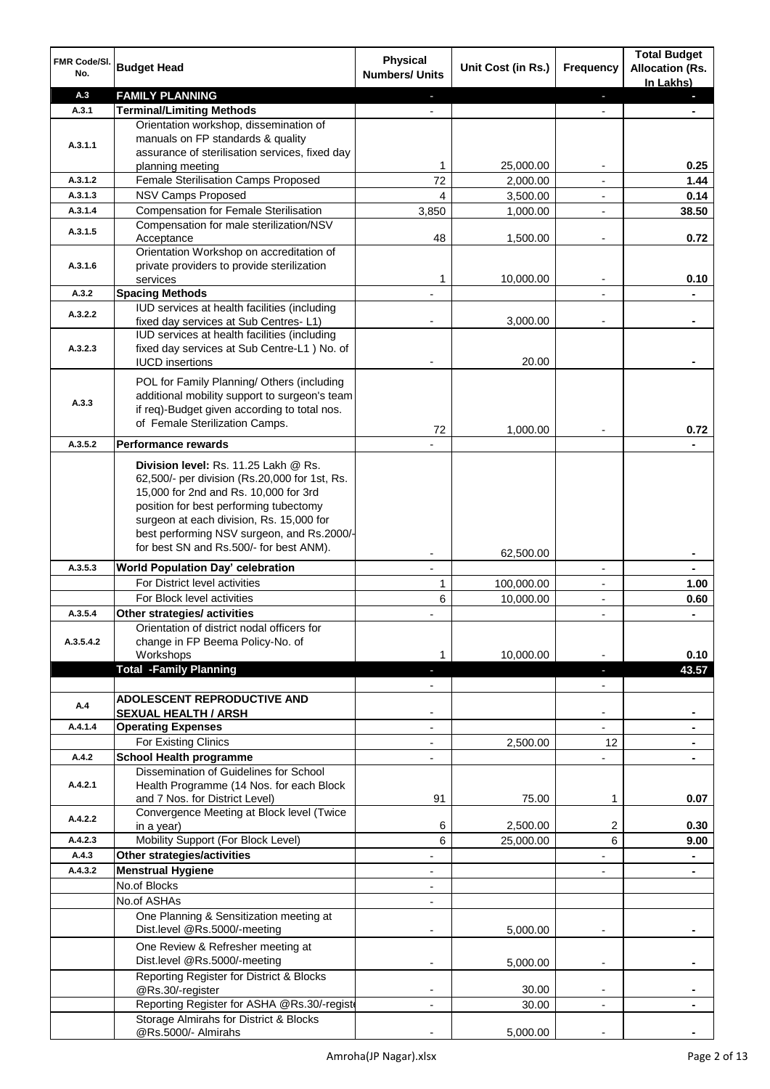| FMR Code/SI.<br>No. | <b>Budget Head</b>                                                                                                            | <b>Physical</b><br><b>Numbers/ Units</b> | Unit Cost (in Rs.) | Frequency                | <b>Total Budget</b><br><b>Allocation (Rs.</b><br>In Lakhs) |
|---------------------|-------------------------------------------------------------------------------------------------------------------------------|------------------------------------------|--------------------|--------------------------|------------------------------------------------------------|
| A.3                 | <b>FAMILY PLANNING</b>                                                                                                        | ٠                                        |                    | ٠                        | P.                                                         |
| A.3.1               | <b>Terminal/Limiting Methods</b>                                                                                              |                                          |                    |                          |                                                            |
| A.3.1.1             | Orientation workshop, dissemination of<br>manuals on FP standards & quality<br>assurance of sterilisation services, fixed day |                                          |                    |                          |                                                            |
|                     | planning meeting                                                                                                              | 1                                        | 25,000.00          |                          | 0.25                                                       |
| A.3.1.2             | Female Sterilisation Camps Proposed                                                                                           | 72                                       | 2,000.00           |                          | 1.44                                                       |
| A.3.1.3             | <b>NSV Camps Proposed</b>                                                                                                     | 4                                        | 3,500.00           | $\overline{a}$           | 0.14                                                       |
| A.3.1.4             | <b>Compensation for Female Sterilisation</b>                                                                                  | 3,850                                    | 1,000.00           |                          | 38.50                                                      |
| A.3.1.5             | Compensation for male sterilization/NSV<br>Acceptance<br>Orientation Workshop on accreditation of                             | 48                                       | 1,500.00           |                          | 0.72                                                       |
| A.3.1.6             | private providers to provide sterilization<br>services                                                                        | 1                                        | 10,000.00          |                          | 0.10                                                       |
| A.3.2               | <b>Spacing Methods</b>                                                                                                        |                                          |                    |                          |                                                            |
|                     | IUD services at health facilities (including                                                                                  |                                          |                    |                          |                                                            |
| A.3.2.2             | fixed day services at Sub Centres-L1)                                                                                         | -                                        | 3,000.00           | -                        | $\blacksquare$                                             |
|                     | IUD services at health facilities (including                                                                                  |                                          |                    |                          |                                                            |
| A.3.2.3             | fixed day services at Sub Centre-L1 ) No. of                                                                                  |                                          |                    |                          |                                                            |
|                     | <b>IUCD</b> insertions                                                                                                        |                                          | 20.00              |                          |                                                            |
|                     | POL for Family Planning/ Others (including                                                                                    |                                          |                    |                          |                                                            |
|                     | additional mobility support to surgeon's team                                                                                 |                                          |                    |                          |                                                            |
| A.3.3               | if req)-Budget given according to total nos.                                                                                  |                                          |                    |                          |                                                            |
|                     | of Female Sterilization Camps.                                                                                                | 72                                       | 1,000.00           |                          | 0.72                                                       |
| A.3.5.2             | Performance rewards                                                                                                           |                                          |                    |                          |                                                            |
|                     |                                                                                                                               |                                          |                    |                          |                                                            |
|                     | Division level: Rs. 11.25 Lakh @ Rs.<br>62,500/- per division (Rs.20,000 for 1st, Rs.                                         |                                          |                    |                          |                                                            |
|                     | 15,000 for 2nd and Rs. 10,000 for 3rd                                                                                         |                                          |                    |                          |                                                            |
|                     | position for best performing tubectomy                                                                                        |                                          |                    |                          |                                                            |
|                     | surgeon at each division, Rs. 15,000 for                                                                                      |                                          |                    |                          |                                                            |
|                     | best performing NSV surgeon, and Rs.2000/-                                                                                    |                                          |                    |                          |                                                            |
|                     | for best SN and Rs.500/- for best ANM).                                                                                       |                                          | 62,500.00          |                          |                                                            |
| A.3.5.3             | World Population Day' celebration                                                                                             | $\overline{\phantom{0}}$                 |                    | $\overline{\phantom{a}}$ |                                                            |
|                     | For District level activities                                                                                                 | $\mathbf{1}$                             | 100,000.00         |                          | 1.00                                                       |
|                     | For Block level activities                                                                                                    | 6                                        | 10,000.00          |                          | 0.60                                                       |
| A.3.5.4             | Other strategies/ activities                                                                                                  |                                          |                    |                          |                                                            |
|                     | Orientation of district nodal officers for                                                                                    |                                          |                    |                          |                                                            |
| A.3.5.4.2           | change in FP Beema Policy-No. of                                                                                              |                                          |                    |                          |                                                            |
|                     | Workshops                                                                                                                     | 1                                        | 10,000.00          |                          | 0.10                                                       |
|                     | <b>Total -Family Planning</b>                                                                                                 | ÷.                                       |                    | ٠                        | 43.57                                                      |
|                     |                                                                                                                               |                                          |                    |                          |                                                            |
| A.4                 | ADOLESCENT REPRODUCTIVE AND                                                                                                   |                                          |                    |                          |                                                            |
|                     | <b>SEXUAL HEALTH / ARSH</b>                                                                                                   |                                          |                    |                          |                                                            |
| A.4.1.4             | <b>Operating Expenses</b>                                                                                                     | $\overline{a}$                           |                    |                          |                                                            |
|                     | For Existing Clinics                                                                                                          | $\overline{\phantom{0}}$                 | 2,500.00           | 12 <sup>2</sup>          |                                                            |
| A.4.2               | <b>School Health programme</b>                                                                                                |                                          |                    |                          |                                                            |
|                     | Dissemination of Guidelines for School                                                                                        |                                          |                    |                          |                                                            |
| A.4.2.1             | Health Programme (14 Nos. for each Block<br>and 7 Nos. for District Level)                                                    | 91                                       | 75.00              | 1                        | 0.07                                                       |
|                     | Convergence Meeting at Block level (Twice                                                                                     |                                          |                    |                          |                                                            |
| A.4.2.2             | in a year)                                                                                                                    | 6                                        | 2,500.00           | 2                        | 0.30                                                       |
| A.4.2.3             | Mobility Support (For Block Level)                                                                                            | 6                                        | 25,000.00          | 6                        | 9.00                                                       |
| A.4.3               | Other strategies/activities                                                                                                   | -                                        |                    |                          |                                                            |
| A.4.3.2             | <b>Menstrual Hygiene</b>                                                                                                      | -                                        |                    |                          |                                                            |
|                     | No.of Blocks                                                                                                                  | $\overline{\phantom{0}}$                 |                    |                          |                                                            |
|                     | No.of ASHAs                                                                                                                   | $\overline{\phantom{0}}$                 |                    |                          |                                                            |
|                     | One Planning & Sensitization meeting at<br>Dist.level @Rs.5000/-meeting                                                       |                                          | 5,000.00           | -                        |                                                            |
|                     | One Review & Refresher meeting at<br>Dist.level @Rs.5000/-meeting                                                             |                                          |                    |                          |                                                            |
|                     |                                                                                                                               |                                          | 5,000.00           |                          |                                                            |
|                     | Reporting Register for District & Blocks<br>@Rs.30/-register                                                                  |                                          | 30.00              |                          |                                                            |
|                     | Reporting Register for ASHA @Rs.30/-regist                                                                                    | $\overline{\phantom{0}}$                 | 30.00              | $\overline{a}$           |                                                            |
|                     | Storage Almirahs for District & Blocks                                                                                        |                                          |                    |                          |                                                            |
|                     | @Rs.5000/- Almirahs                                                                                                           |                                          | 5,000.00           |                          |                                                            |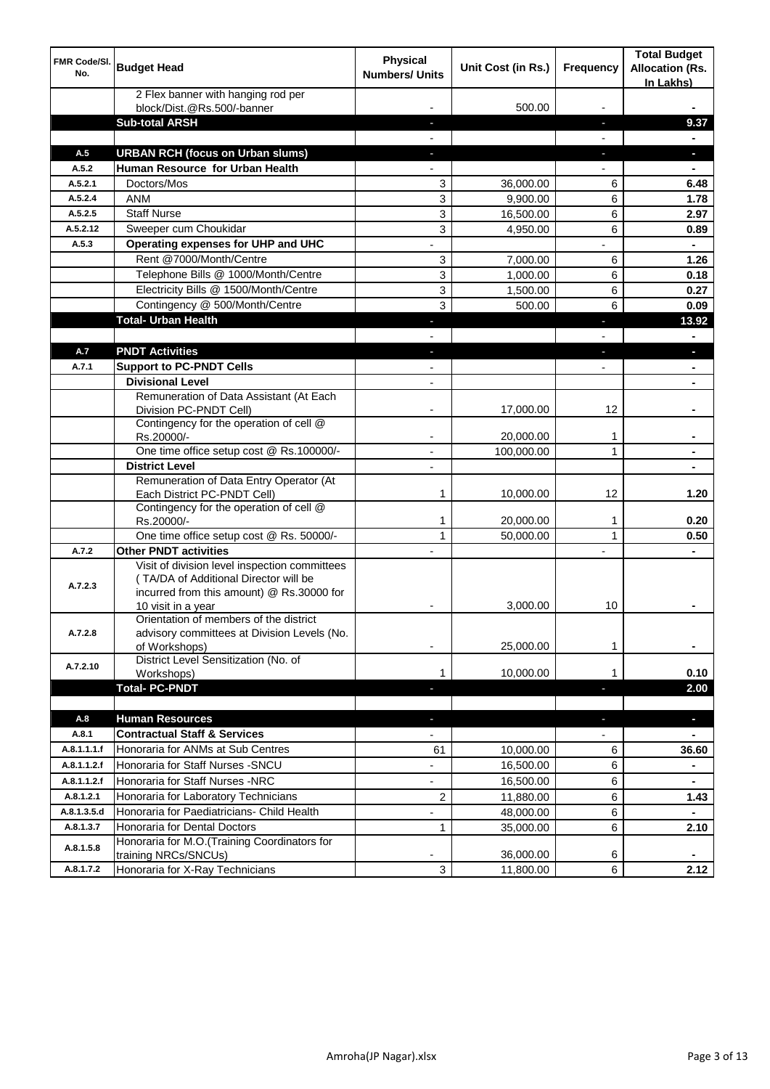| FMR Code/SI.<br>No.    | <b>Budget Head</b>                                                                                                                                        | Physical<br><b>Numbers/ Units</b> | Unit Cost (in Rs.) | <b>Frequency</b>         | <b>Total Budget</b><br><b>Allocation (Rs.</b><br>In Lakhs) |
|------------------------|-----------------------------------------------------------------------------------------------------------------------------------------------------------|-----------------------------------|--------------------|--------------------------|------------------------------------------------------------|
|                        | 2 Flex banner with hanging rod per<br>block/Dist.@Rs.500/-banner                                                                                          |                                   | 500.00             |                          |                                                            |
|                        | <b>Sub-total ARSH</b>                                                                                                                                     |                                   |                    |                          | 9.37                                                       |
| A.5                    | <b>URBAN RCH (focus on Urban slums)</b>                                                                                                                   |                                   |                    | J,                       | a.                                                         |
| A.5.2                  | Human Resource for Urban Health                                                                                                                           |                                   |                    |                          |                                                            |
| A.5.2.1                | Doctors/Mos                                                                                                                                               | 3                                 | 36,000.00          | 6                        | 6.48                                                       |
| A.5.2.4                | <b>ANM</b>                                                                                                                                                | 3                                 | 9,900.00           | 6                        | 1.78                                                       |
| A.5.2.5                | <b>Staff Nurse</b>                                                                                                                                        | 3                                 | 16,500.00          | 6                        | 2.97                                                       |
| A.5.2.12               | Sweeper cum Choukidar                                                                                                                                     | 3                                 | 4,950.00           | 6                        | 0.89                                                       |
| A.5.3                  | Operating expenses for UHP and UHC                                                                                                                        |                                   |                    | $\overline{\phantom{0}}$ |                                                            |
|                        | Rent @7000/Month/Centre                                                                                                                                   | 3                                 | 7,000.00           | 6                        | 1.26                                                       |
|                        | Telephone Bills @ 1000/Month/Centre                                                                                                                       | 3                                 | 1,000.00           | 6                        | 0.18                                                       |
|                        | Electricity Bills @ 1500/Month/Centre                                                                                                                     | 3                                 | 1,500.00           | 6                        | 0.27                                                       |
|                        | Contingency @ 500/Month/Centre                                                                                                                            | 3                                 | 500.00             | 6                        | 0.09                                                       |
|                        | <b>Total- Urban Health</b>                                                                                                                                |                                   |                    | J,                       | 13.92                                                      |
|                        |                                                                                                                                                           | $\overline{\phantom{0}}$          |                    | $\overline{\phantom{a}}$ | $\blacksquare$                                             |
| A.7                    | <b>PNDT Activities</b>                                                                                                                                    | a.                                |                    | $\blacksquare$           | $\overline{\phantom{a}}$                                   |
| A.7.1                  | <b>Support to PC-PNDT Cells</b>                                                                                                                           |                                   |                    | $\overline{\phantom{a}}$ |                                                            |
|                        | <b>Divisional Level</b>                                                                                                                                   | $\overline{\phantom{a}}$          |                    |                          | $\blacksquare$                                             |
|                        | Remuneration of Data Assistant (At Each<br>Division PC-PNDT Cell)                                                                                         |                                   | 17,000.00          | 12                       |                                                            |
|                        | Contingency for the operation of cell @                                                                                                                   |                                   |                    |                          |                                                            |
|                        | Rs.20000/-                                                                                                                                                | $\overline{\phantom{a}}$          | 20,000.00          | 1                        | $\blacksquare$                                             |
|                        | One time office setup cost @ Rs.100000/-<br><b>District Level</b>                                                                                         | $\overline{\phantom{a}}$          | 100,000.00         | 1                        | $\blacksquare$                                             |
|                        | Remuneration of Data Entry Operator (At                                                                                                                   | $\overline{\phantom{a}}$          |                    |                          |                                                            |
|                        | Each District PC-PNDT Cell)<br>Contingency for the operation of cell @                                                                                    | 1                                 | 10,000.00          | 12                       | 1.20                                                       |
|                        | Rs.20000/-                                                                                                                                                | 1                                 | 20,000.00          | 1                        | 0.20                                                       |
|                        | One time office setup cost @ Rs. 50000/-                                                                                                                  | 1                                 | 50,000.00          | 1                        | 0.50                                                       |
| A.7.2                  | <b>Other PNDT activities</b>                                                                                                                              | $\overline{a}$                    |                    | $\overline{a}$           |                                                            |
| A.7.2.3                | Visit of division level inspection committees<br>(TA/DA of Additional Director will be<br>incurred from this amount) @ Rs.30000 for<br>10 visit in a year |                                   | 3.000.00           | 10                       |                                                            |
| A.7.2.8                | Orientation of members of the district<br>advisory committees at Division Levels (No.                                                                     |                                   |                    |                          |                                                            |
| A.7.2.10               | of Workshops)<br>District Level Sensitization (No. of                                                                                                     | $\blacksquare$                    | 25,000.00          | 1                        | ٠                                                          |
|                        | Workshops)<br><b>Total-PC-PNDT</b>                                                                                                                        | 1                                 | 10.000.00          | 1                        | 0.10                                                       |
|                        |                                                                                                                                                           | ٠                                 |                    | $\overline{\phantom{a}}$ | 2.00                                                       |
| A.8                    |                                                                                                                                                           |                                   |                    |                          |                                                            |
|                        | <b>Human Resources</b><br><b>Contractual Staff &amp; Services</b>                                                                                         | ٠                                 |                    | ٠                        | ×.                                                         |
| A.8.1                  |                                                                                                                                                           |                                   |                    |                          |                                                            |
| A.8.1.1.1.f            | Honoraria for ANMs at Sub Centres                                                                                                                         | 61                                | 10,000.00          | 6                        | 36.60                                                      |
| A.8.1.1.2.f            | Honoraria for Staff Nurses - SNCU                                                                                                                         |                                   | 16,500.00          | 6                        |                                                            |
| A.8.1.1.2.f            | Honoraria for Staff Nurses -NRC                                                                                                                           |                                   | 16,500.00          | 6                        |                                                            |
| A.8.1.2.1              | Honoraria for Laboratory Technicians                                                                                                                      | 2                                 | 11,880.00          | 6                        | 1.43                                                       |
| A.8.1.3.5.d            | Honoraria for Paediatricians- Child Health                                                                                                                |                                   | 48,000.00          | 6                        |                                                            |
| A.8.1.3.7<br>A.8.1.5.8 | Honoraria for Dental Doctors<br>Honoraria for M.O.(Training Coordinators for                                                                              | 1                                 | 35,000.00          | 6                        | 2.10                                                       |
|                        | training NRCs/SNCUs)                                                                                                                                      | $\overline{\phantom{a}}$          | 36,000.00          | 6                        |                                                            |
| A.8.1.7.2              | Honoraria for X-Ray Technicians                                                                                                                           | 3                                 | 11,800.00          | 6                        | 2.12                                                       |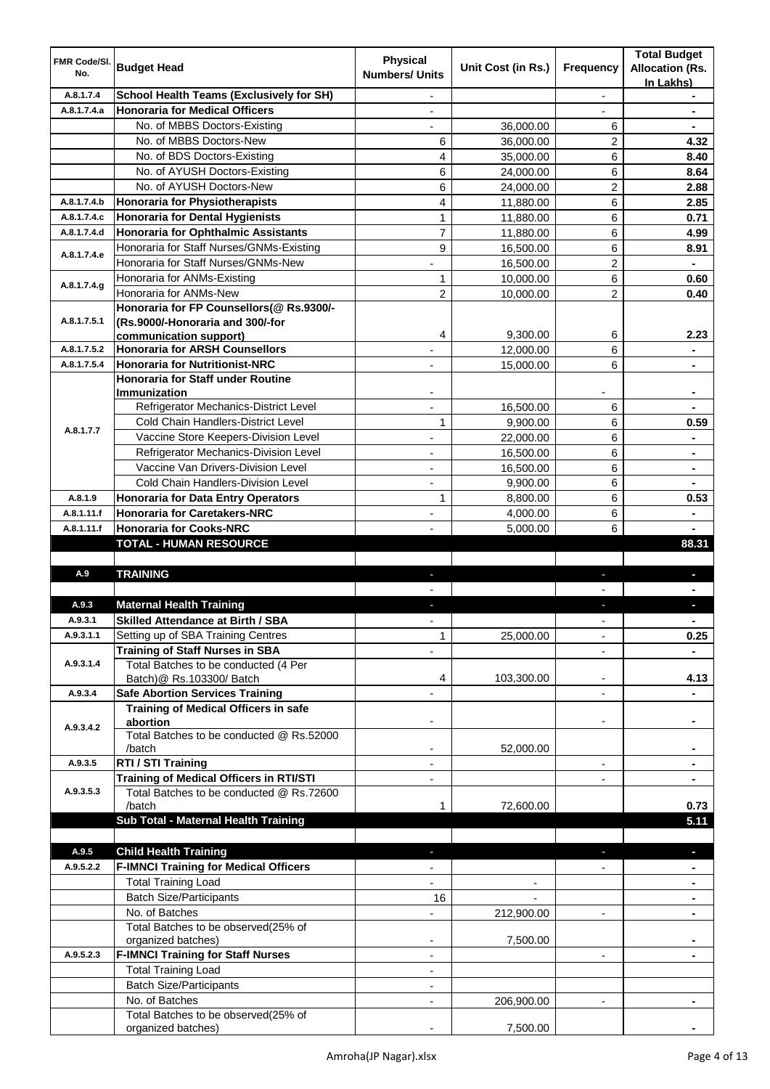| FMR Code/SI.<br>No. | <b>Budget Head</b>                                                           | <b>Physical</b><br><b>Numbers/ Units</b> | Unit Cost (in Rs.) | <b>Frequency</b>         | <b>Total Budget</b><br><b>Allocation (Rs.</b><br>In Lakhs) |
|---------------------|------------------------------------------------------------------------------|------------------------------------------|--------------------|--------------------------|------------------------------------------------------------|
| A.8.1.7.4           | School Health Teams (Exclusively for SH)                                     | $\overline{\phantom{0}}$                 |                    | $\blacksquare$           |                                                            |
| A.8.1.7.4.a         | <b>Honoraria for Medical Officers</b>                                        | $\overline{\phantom{0}}$                 |                    |                          |                                                            |
|                     | No. of MBBS Doctors-Existing                                                 | $\overline{\phantom{0}}$                 | 36,000.00          | 6                        | $\blacksquare$                                             |
|                     | No. of MBBS Doctors-New                                                      | 6                                        | 36,000.00          | 2                        | 4.32                                                       |
|                     | No. of BDS Doctors-Existing                                                  | 4                                        | 35,000.00          | 6                        | 8.40                                                       |
|                     | No. of AYUSH Doctors-Existing                                                | 6                                        | 24,000.00          | 6                        | 8.64                                                       |
|                     | No. of AYUSH Doctors-New                                                     | 6                                        | 24,000.00          | $\overline{c}$           | 2.88                                                       |
| A.8.1.7.4.b         | Honoraria for Physiotherapists                                               | 4                                        | 11,880.00          | 6                        | 2.85                                                       |
| A.8.1.7.4.c         | <b>Honoraria for Dental Hygienists</b>                                       | $\mathbf{1}$                             | 11,880.00          | 6                        | 0.71                                                       |
| A.8.1.7.4.d         | <b>Honoraria for Ophthalmic Assistants</b>                                   | $\overline{7}$                           | 11,880.00          | 6                        | 4.99                                                       |
|                     | Honoraria for Staff Nurses/GNMs-Existing                                     | 9                                        | 16,500.00          | 6                        | 8.91                                                       |
| A.8.1.7.4.e         | Honoraria for Staff Nurses/GNMs-New                                          |                                          | 16,500.00          | $\overline{c}$           | $\blacksquare$                                             |
|                     | Honoraria for ANMs-Existing                                                  | 1                                        | 10,000.00          | 6                        | 0.60                                                       |
| A.8.1.7.4.g         | Honoraria for ANMs-New                                                       | $\overline{2}$                           | 10,000.00          | $\overline{c}$           | 0.40                                                       |
|                     | Honoraria for FP Counsellors(@ Rs.9300/-                                     |                                          |                    |                          |                                                            |
| A.8.1.7.5.1         | (Rs.9000/-Honoraria and 300/-for                                             |                                          |                    |                          |                                                            |
|                     | communication support)                                                       | 4                                        | 9,300.00           | 6                        | 2.23                                                       |
| A.8.1.7.5.2         | <b>Honoraria for ARSH Counsellors</b>                                        |                                          | 12,000.00          | 6                        |                                                            |
| A.8.1.7.5.4         | <b>Honoraria for Nutritionist-NRC</b>                                        | $\overline{a}$                           | 15,000.00          | 6                        | $\overline{\phantom{0}}$                                   |
|                     | <b>Honoraria for Staff under Routine</b>                                     |                                          |                    |                          |                                                            |
|                     | Immunization                                                                 |                                          |                    |                          |                                                            |
|                     | Refrigerator Mechanics-District Level                                        | $\overline{a}$                           | 16,500.00          | 6                        |                                                            |
|                     | Cold Chain Handlers-District Level                                           | 1                                        | 9,900.00           | 6                        | 0.59                                                       |
| A.8.1.7.7           | Vaccine Store Keepers-Division Level                                         | $\overline{a}$                           | 22,000.00          | 6                        | $\blacksquare$                                             |
|                     | Refrigerator Mechanics-Division Level                                        | $\overline{\phantom{a}}$                 | 16,500.00          | 6                        | $\blacksquare$                                             |
|                     | Vaccine Van Drivers-Division Level                                           | $\overline{\phantom{a}}$                 | 16,500.00          | 6                        | $\blacksquare$                                             |
|                     | Cold Chain Handlers-Division Level                                           | $\overline{\phantom{a}}$                 | 9,900.00           | 6                        | $\blacksquare$                                             |
| A.8.1.9             | Honoraria for Data Entry Operators                                           | 1                                        | 8,800.00           | 6                        | 0.53                                                       |
| A.8.1.11.f          | <b>Honoraria for Caretakers-NRC</b>                                          | $\overline{\phantom{a}}$                 | 4,000.00           | 6                        | $\blacksquare$                                             |
| A.8.1.11.f          | <b>Honoraria for Cooks-NRC</b>                                               |                                          | 5,000.00           | 6                        |                                                            |
|                     | <b>TOTAL - HUMAN RESOURCE</b>                                                |                                          |                    |                          | 88.31                                                      |
|                     |                                                                              |                                          |                    |                          |                                                            |
|                     |                                                                              |                                          |                    |                          |                                                            |
| A.9                 | <b>TRAINING</b>                                                              | ٠                                        |                    | ٠                        |                                                            |
|                     |                                                                              |                                          |                    |                          |                                                            |
| A.9.3               | <b>Maternal Health Training</b>                                              |                                          |                    |                          |                                                            |
| A.9.3.1             | <b>Skilled Attendance at Birth / SBA</b>                                     |                                          |                    |                          |                                                            |
| A.9.3.1.1           |                                                                              | $\mathbf{1}$                             |                    |                          |                                                            |
|                     | Setting up of SBA Training Centres<br><b>Training of Staff Nurses in SBA</b> |                                          | 25,000.00          |                          | 0.25                                                       |
| A.9.3.1.4           | Total Batches to be conducted (4 Per                                         |                                          |                    |                          |                                                            |
|                     | Batch) @ Rs.103300/ Batch                                                    | 4                                        | 103,300.00         | $\overline{\phantom{a}}$ | 4.13                                                       |
| A.9.3.4             | <b>Safe Abortion Services Training</b>                                       |                                          |                    |                          | $\blacksquare$                                             |
|                     | Training of Medical Officers in safe                                         |                                          |                    |                          |                                                            |
|                     | abortion                                                                     |                                          |                    |                          |                                                            |
| A.9.3.4.2           | Total Batches to be conducted @ Rs.52000                                     |                                          |                    |                          |                                                            |
|                     | /batch                                                                       |                                          | 52,000.00          |                          |                                                            |
| A.9.3.5             | RTI / STI Training                                                           |                                          |                    | $\overline{\phantom{a}}$ |                                                            |
|                     | <b>Training of Medical Officers in RTI/STI</b>                               | $\overline{\phantom{a}}$                 |                    | $\blacksquare$           | ٠                                                          |
| A.9.3.5.3           | Total Batches to be conducted @ Rs.72600                                     |                                          |                    |                          |                                                            |
|                     | /batch                                                                       |                                          | 72,600.00          |                          | 0.73                                                       |
|                     | Sub Total - Maternal Health Training                                         |                                          |                    |                          | 5.11                                                       |
|                     |                                                                              |                                          |                    |                          |                                                            |
| A.9.5               | <b>Child Health Training</b>                                                 | J.                                       |                    | J.                       |                                                            |
| A.9.5.2.2           | <b>F-IMNCI Training for Medical Officers</b>                                 |                                          |                    |                          |                                                            |
|                     | <b>Total Training Load</b>                                                   |                                          |                    |                          |                                                            |
|                     | <b>Batch Size/Participants</b>                                               | 16                                       |                    |                          |                                                            |
|                     | No. of Batches                                                               |                                          | 212,900.00         | $\overline{\phantom{a}}$ |                                                            |
|                     | Total Batches to be observed(25% of                                          |                                          |                    |                          |                                                            |
|                     | organized batches)                                                           | $\overline{\phantom{a}}$                 | 7,500.00           |                          |                                                            |
| A.9.5.2.3           | <b>F-IMNCI Training for Staff Nurses</b>                                     | $\overline{\phantom{a}}$                 |                    |                          |                                                            |
|                     | <b>Total Training Load</b>                                                   | $\overline{\phantom{a}}$                 |                    |                          |                                                            |
|                     | <b>Batch Size/Participants</b>                                               | $\overline{\phantom{a}}$                 |                    |                          |                                                            |
|                     | No. of Batches<br>Total Batches to be observed(25% of                        | $\overline{\phantom{a}}$                 | 206,900.00         |                          | $\blacksquare$                                             |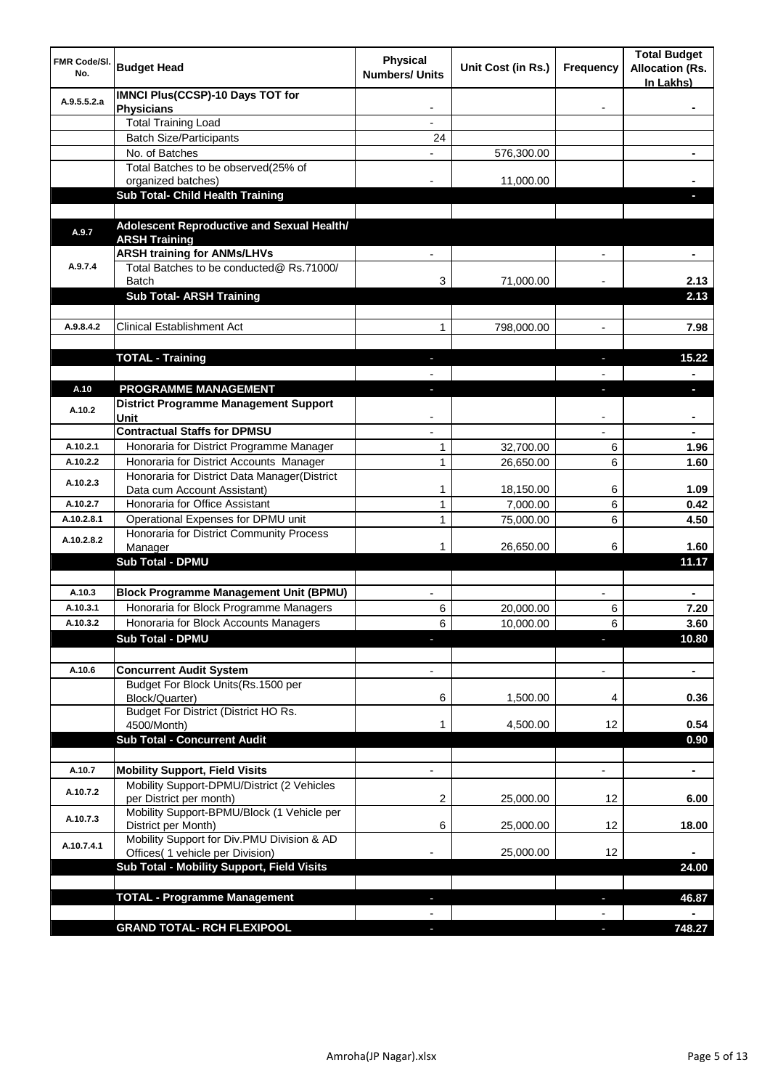| FMR Code/SI.<br>No. | <b>Budget Head</b>                                                                  | <b>Physical</b><br><b>Numbers/ Units</b> | Unit Cost (in Rs.) | <b>Frequency</b> | <b>Total Budget</b><br><b>Allocation (Rs.</b><br>In Lakhs) |
|---------------------|-------------------------------------------------------------------------------------|------------------------------------------|--------------------|------------------|------------------------------------------------------------|
| A.9.5.5.2.a         | <b>IMNCI Plus(CCSP)-10 Days TOT for</b><br><b>Physicians</b>                        |                                          |                    |                  |                                                            |
|                     | <b>Total Training Load</b>                                                          |                                          |                    |                  |                                                            |
|                     | <b>Batch Size/Participants</b>                                                      | 24                                       |                    |                  |                                                            |
|                     | No. of Batches                                                                      |                                          | 576,300.00         |                  |                                                            |
|                     | Total Batches to be observed(25% of                                                 |                                          |                    |                  |                                                            |
|                     | organized batches)                                                                  |                                          | 11,000.00          |                  |                                                            |
|                     | <b>Sub Total- Child Health Training</b>                                             |                                          |                    |                  |                                                            |
|                     | Adolescent Reproductive and Sexual Health/                                          |                                          |                    |                  |                                                            |
| A.9.7               | <b>ARSH Training</b>                                                                |                                          |                    |                  |                                                            |
|                     | <b>ARSH training for ANMs/LHVs</b>                                                  |                                          |                    |                  |                                                            |
| A.9.7.4             | Total Batches to be conducted@ Rs.71000/                                            |                                          |                    |                  |                                                            |
|                     | <b>Batch</b><br><b>Sub Total- ARSH Training</b>                                     | 3                                        | 71,000.00          |                  | 2.13<br>2.13                                               |
|                     |                                                                                     |                                          |                    |                  |                                                            |
| A.9.8.4.2           | <b>Clinical Establishment Act</b>                                                   | 1                                        | 798,000.00         |                  | 7.98                                                       |
|                     |                                                                                     |                                          |                    |                  |                                                            |
|                     | <b>TOTAL - Training</b>                                                             | ٠                                        |                    | J,               | 15.22                                                      |
|                     |                                                                                     |                                          |                    |                  |                                                            |
| A.10<br>A.10.2      | <b>PROGRAMME MANAGEMENT</b><br><b>District Programme Management Support</b><br>Unit | J                                        |                    |                  | J,                                                         |
|                     | <b>Contractual Staffs for DPMSU</b>                                                 |                                          |                    |                  |                                                            |
| A.10.2.1            | Honoraria for District Programme Manager                                            | 1                                        | 32,700.00          | 6                | 1.96                                                       |
| A.10.2.2            | Honoraria for District Accounts Manager                                             | 1                                        | 26,650.00          | 6                | 1.60                                                       |
| A.10.2.3            | Honoraria for District Data Manager(District                                        |                                          |                    |                  |                                                            |
|                     | Data cum Account Assistant)                                                         | 1                                        | 18,150.00          | 6                | 1.09                                                       |
| A.10.2.7            | Honoraria for Office Assistant                                                      | $\mathbf{1}$                             | 7,000.00           | 6                | 0.42                                                       |
| A.10.2.8.1          | Operational Expenses for DPMU unit                                                  | 1                                        | 75,000.00          | 6                | 4.50                                                       |
| A.10.2.8.2          | Honoraria for District Community Process<br>Manager                                 | 1                                        | 26,650.00          | 6                | 1.60                                                       |
|                     | <b>Sub Total - DPMU</b>                                                             |                                          |                    |                  | 11.17                                                      |
|                     |                                                                                     |                                          |                    |                  |                                                            |
| A.10.3              | <b>Block Programme Management Unit (BPMU)</b>                                       |                                          |                    |                  | $\blacksquare$                                             |
| A.10.3.1            | Honoraria for Block Programme Managers                                              | 6                                        | 20,000.00          | 6                | 7.20                                                       |
| A.10.3.2            | Honoraria for Block Accounts Managers                                               | 6                                        | 10,000.00          | 6                | 3.60                                                       |
|                     | <b>Sub Total - DPMU</b>                                                             | H,                                       |                    | L.               | 10.80                                                      |
|                     |                                                                                     |                                          |                    |                  |                                                            |
| A.10.6              | <b>Concurrent Audit System</b>                                                      | $\overline{\phantom{a}}$                 |                    | L,               | $\blacksquare$                                             |
|                     | Budget For Block Units(Rs.1500 per<br>Block/Quarter)                                | 6                                        | 1,500.00           | 4                | 0.36                                                       |
|                     | Budget For District (District HO Rs.                                                |                                          |                    |                  |                                                            |
|                     | 4500/Month)                                                                         | 1                                        | 4,500.00           | 12               | 0.54                                                       |
|                     | <b>Sub Total - Concurrent Audit</b>                                                 |                                          |                    |                  | 0.90                                                       |
| A.10.7              | <b>Mobility Support, Field Visits</b>                                               | $\overline{\phantom{a}}$                 |                    | L,               | $\blacksquare$                                             |
|                     | Mobility Support-DPMU/District (2 Vehicles                                          |                                          |                    |                  |                                                            |
| A.10.7.2            | per District per month)                                                             | 2                                        | 25,000.00          | 12               | 6.00                                                       |
| A.10.7.3            | Mobility Support-BPMU/Block (1 Vehicle per<br>District per Month)                   | 6                                        | 25,000.00          | 12               | 18.00                                                      |
| A.10.7.4.1          | Mobility Support for Div.PMU Division & AD<br>Offices( 1 vehicle per Division)      |                                          | 25,000.00          | 12               |                                                            |
|                     | Sub Total - Mobility Support, Field Visits                                          |                                          |                    |                  | 24.00                                                      |
|                     |                                                                                     |                                          |                    |                  |                                                            |
|                     | <b>TOTAL - Programme Management</b>                                                 |                                          |                    |                  | 46.87                                                      |
|                     |                                                                                     |                                          |                    |                  |                                                            |
|                     | <b>GRAND TOTAL- RCH FLEXIPOOL</b>                                                   |                                          |                    |                  | 748.27                                                     |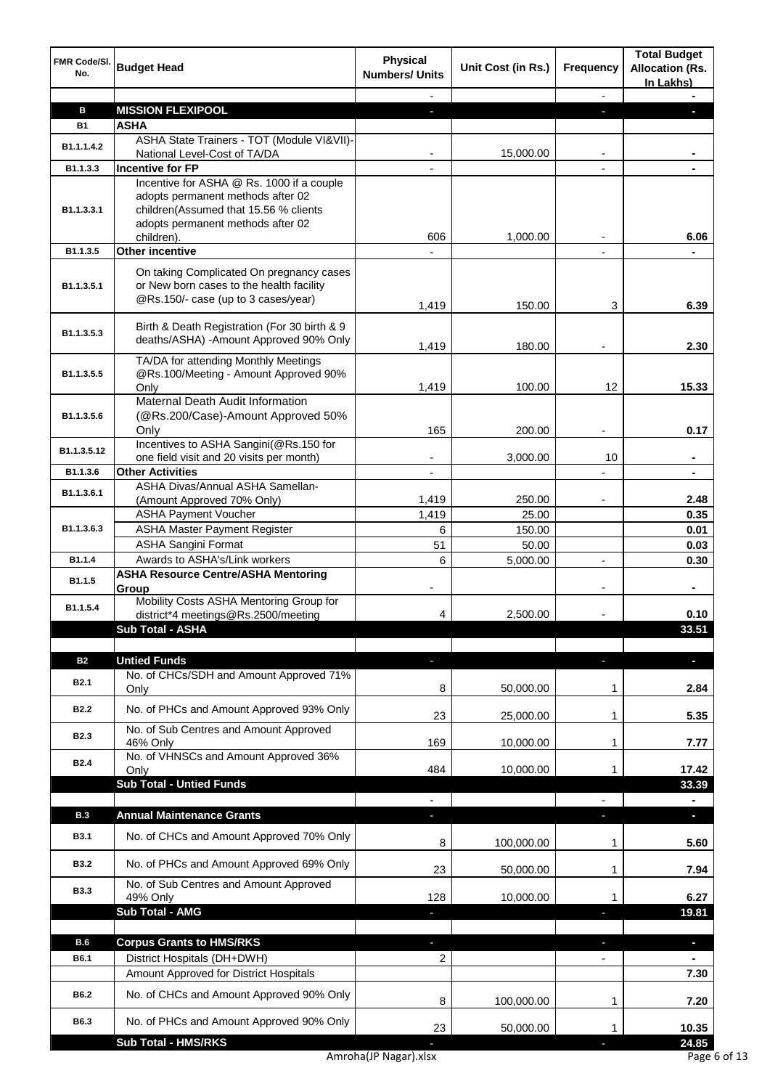| FMR Code/SI.<br>No.        | <b>Budget Head</b>                                                                                                                                                         | <b>Physical</b><br><b>Numbers/ Units</b> | Unit Cost (in Rs.) | <b>Frequency</b>         | <b>Total Budget</b><br><b>Allocation (Rs.</b><br>In Lakhs) |
|----------------------------|----------------------------------------------------------------------------------------------------------------------------------------------------------------------------|------------------------------------------|--------------------|--------------------------|------------------------------------------------------------|
|                            |                                                                                                                                                                            |                                          |                    |                          |                                                            |
| в                          | <b>MISSION FLEXIPOOL</b>                                                                                                                                                   | ٠                                        |                    | н                        |                                                            |
| <b>B1</b>                  | <b>ASHA</b><br>ASHA State Trainers - TOT (Module VI&VII)-                                                                                                                  |                                          |                    |                          |                                                            |
| B <sub>1.1.1.4.2</sub>     | National Level-Cost of TA/DA                                                                                                                                               |                                          | 15,000.00          |                          |                                                            |
| B1.1.3.3                   | <b>Incentive for FP</b>                                                                                                                                                    | $\overline{\phantom{a}}$                 |                    | $\overline{a}$           |                                                            |
| B1.1.3.3.1                 | Incentive for ASHA @ Rs. 1000 if a couple<br>adopts permanent methods after 02<br>children(Assumed that 15.56 % clients<br>adopts permanent methods after 02<br>children). | 606                                      | 1,000.00           |                          | 6.06                                                       |
| B1.1.3.5                   | <b>Other incentive</b>                                                                                                                                                     |                                          |                    |                          |                                                            |
| B1.1.3.5.1                 | On taking Complicated On pregnancy cases<br>or New born cases to the health facility<br>@Rs.150/- case (up to 3 cases/year)                                                | 1,419                                    | 150.00             | 3                        | 6.39                                                       |
| B1.1.3.5.3                 | Birth & Death Registration (For 30 birth & 9<br>deaths/ASHA) - Amount Approved 90% Only                                                                                    | 1,419                                    | 180.00             |                          | 2.30                                                       |
| B1.1.3.5.5                 | TA/DA for attending Monthly Meetings<br>@Rs.100/Meeting - Amount Approved 90%                                                                                              |                                          |                    |                          |                                                            |
|                            | Only<br>Maternal Death Audit Information                                                                                                                                   | 1,419                                    | 100.00             | 12                       | 15.33                                                      |
| B1.1.3.5.6                 | (@Rs.200/Case)-Amount Approved 50%<br>Only                                                                                                                                 | 165                                      | 200.00             | $\overline{\phantom{a}}$ | 0.17                                                       |
| B1.1.3.5.12                | Incentives to ASHA Sangini(@Rs.150 for                                                                                                                                     |                                          |                    |                          |                                                            |
|                            | one field visit and 20 visits per month)<br><b>Other Activities</b>                                                                                                        |                                          | 3,000.00           | 10                       |                                                            |
| B1.1.3.6                   | ASHA Divas/Annual ASHA Samellan-                                                                                                                                           |                                          |                    |                          |                                                            |
| B1.1.3.6.1                 | (Amount Approved 70% Only)                                                                                                                                                 | 1,419                                    | 250.00             |                          | 2.48                                                       |
|                            | <b>ASHA Payment Voucher</b>                                                                                                                                                | 1,419                                    | 25.00              |                          | 0.35                                                       |
| B <sub>1.1</sub> .3.6.3    | <b>ASHA Master Payment Register</b>                                                                                                                                        | 6                                        | 150.00             |                          | 0.01                                                       |
|                            | <b>ASHA Sangini Format</b>                                                                                                                                                 | 51                                       | 50.00              |                          | 0.03                                                       |
| B1.1.4                     | Awards to ASHA's/Link workers                                                                                                                                              | 6                                        | 5,000.00           |                          | 0.30                                                       |
| B1.1.5                     | <b>ASHA Resource Centre/ASHA Mentoring</b><br>Group                                                                                                                        |                                          |                    |                          |                                                            |
| B1.1.5.4                   | Mobility Costs ASHA Mentoring Group for<br>district*4 meetings@Rs.2500/meeting                                                                                             | 4                                        | 2,500.00           |                          | 0.10                                                       |
|                            | <b>Sub Total - ASHA</b>                                                                                                                                                    |                                          |                    |                          | 33.51                                                      |
| <b>B2</b>                  | <b>Untied Funds</b>                                                                                                                                                        |                                          |                    |                          | ٠                                                          |
| <b>B2.1</b>                | No. of CHCs/SDH and Amount Approved 71%<br>Only                                                                                                                            | 8                                        | 50,000.00          | 1                        | 2.84                                                       |
| <b>B2.2</b>                | No. of PHCs and Amount Approved 93% Only                                                                                                                                   | 23                                       | 25,000.00          | 1                        | 5.35                                                       |
| <b>B2.3</b>                | No. of Sub Centres and Amount Approved<br>46% Only                                                                                                                         | 169                                      | 10,000.00          | 1                        | 7.77                                                       |
| <b>B2.4</b>                | No. of VHNSCs and Amount Approved 36%<br>Only                                                                                                                              | 484                                      | 10,000.00          | 1                        | 17.42                                                      |
|                            | <b>Sub Total - Untied Funds</b>                                                                                                                                            |                                          |                    |                          | 33.39                                                      |
|                            |                                                                                                                                                                            |                                          |                    |                          | Ξ.                                                         |
| <b>B.3</b>                 | <b>Annual Maintenance Grants</b>                                                                                                                                           |                                          |                    |                          | ٠                                                          |
| <b>B3.1</b>                | No. of CHCs and Amount Approved 70% Only                                                                                                                                   | 8                                        | 100,000.00         | 1                        | 5.60                                                       |
| <b>B3.2</b>                | No. of PHCs and Amount Approved 69% Only                                                                                                                                   | 23                                       | 50,000.00          | 1                        | 7.94                                                       |
| <b>B3.3</b>                | No. of Sub Centres and Amount Approved<br>49% Only<br>Sub Total - AMG                                                                                                      | 128                                      | 10,000.00          | 1                        | 6.27<br>19.81                                              |
|                            |                                                                                                                                                                            |                                          |                    |                          |                                                            |
| B.6                        | <b>Corpus Grants to HMS/RKS</b>                                                                                                                                            | ÷.                                       |                    | J,                       | $\overline{\phantom{a}}$                                   |
| <b>B6.1</b>                | District Hospitals (DH+DWH)                                                                                                                                                | 2                                        |                    | $\blacksquare$           | $\blacksquare$                                             |
|                            | Amount Approved for District Hospitals                                                                                                                                     |                                          |                    |                          | 7.30                                                       |
| <b>B6.2</b><br><b>B6.3</b> | No. of CHCs and Amount Approved 90% Only                                                                                                                                   | 8                                        | 100,000.00         | 1                        | 7.20                                                       |
|                            | No. of PHCs and Amount Approved 90% Only                                                                                                                                   | 23                                       | 50,000.00          | 1                        | 10.35                                                      |
|                            | <b>Sub Total - HMS/RKS</b>                                                                                                                                                 |                                          |                    |                          | 24.85                                                      |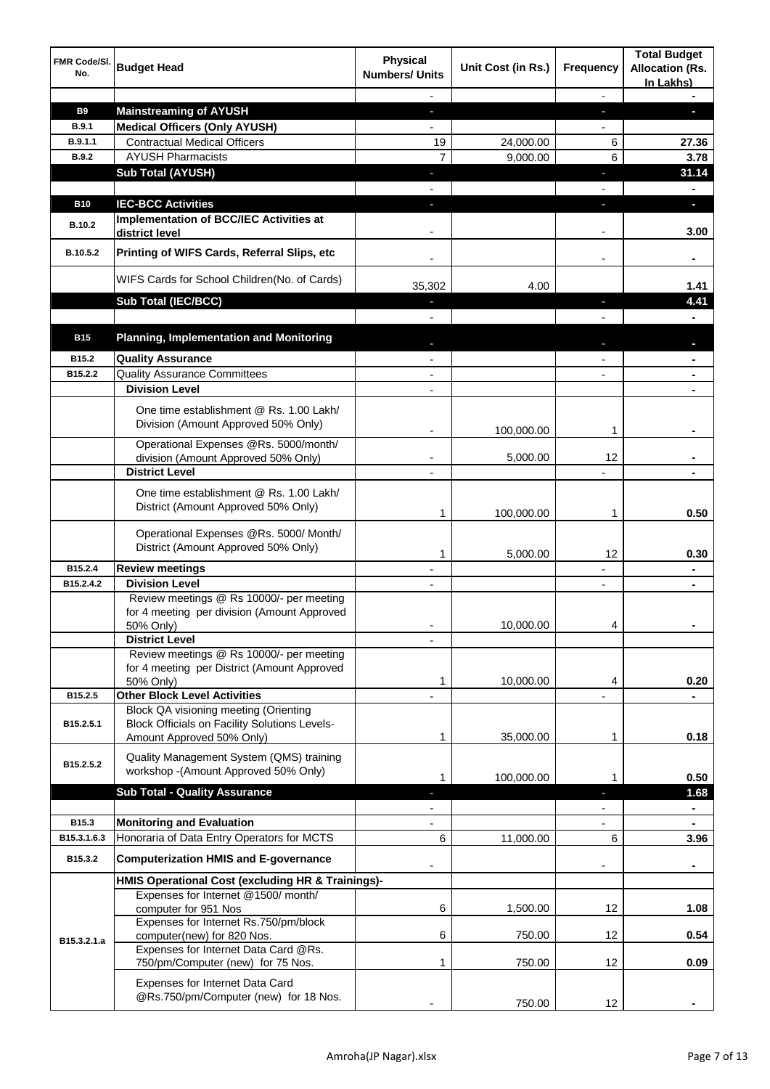| FMR Code/SI.<br>No. | <b>Budget Head</b>                                                                                                                | <b>Physical</b><br><b>Numbers/ Units</b> | Unit Cost (in Rs.) | Frequency                | <b>Total Budget</b><br><b>Allocation (Rs.</b><br>In Lakhs) |
|---------------------|-----------------------------------------------------------------------------------------------------------------------------------|------------------------------------------|--------------------|--------------------------|------------------------------------------------------------|
|                     |                                                                                                                                   |                                          |                    | ٠                        |                                                            |
| <b>B9</b>           | <b>Mainstreaming of AYUSH</b>                                                                                                     | ٠                                        |                    | ٠                        | L.                                                         |
| <b>B.9.1</b>        | <b>Medical Officers (Only AYUSH)</b>                                                                                              | $\overline{\phantom{a}}$                 |                    | $\overline{\phantom{a}}$ |                                                            |
| B.9.1.1             | <b>Contractual Medical Officers</b>                                                                                               | 19                                       | 24,000.00          | 6                        | 27.36                                                      |
| <b>B.9.2</b>        | <b>AYUSH Pharmacists</b>                                                                                                          | $\overline{7}$                           | 9,000.00           | 6                        | 3.78                                                       |
|                     | <b>Sub Total (AYUSH)</b>                                                                                                          | ٠                                        |                    | ٠                        | 31.14                                                      |
|                     | <b>IEC-BCC Activities</b>                                                                                                         |                                          |                    |                          |                                                            |
| <b>B10</b>          | <b>Implementation of BCC/IEC Activities at</b>                                                                                    | ٠                                        |                    |                          | $\blacksquare$                                             |
| <b>B.10.2</b>       | district level                                                                                                                    |                                          |                    |                          | 3.00                                                       |
| B.10.5.2            | Printing of WIFS Cards, Referral Slips, etc                                                                                       | $\overline{\phantom{a}}$                 |                    | $\overline{\phantom{a}}$ | ٠                                                          |
|                     | WIFS Cards for School Children(No. of Cards)                                                                                      | 35,302                                   | 4.00               |                          | 1.41                                                       |
|                     | Sub Total (IEC/BCC)                                                                                                               |                                          |                    |                          | 4.41                                                       |
|                     |                                                                                                                                   |                                          |                    |                          |                                                            |
| <b>B15</b>          | <b>Planning, Implementation and Monitoring</b>                                                                                    |                                          |                    |                          |                                                            |
| B15.2               | <b>Quality Assurance</b>                                                                                                          |                                          |                    |                          |                                                            |
| B15.2.2             | <b>Quality Assurance Committees</b>                                                                                               | $\overline{\phantom{0}}$                 |                    |                          |                                                            |
|                     | <b>Division Level</b>                                                                                                             | $\overline{\phantom{0}}$                 |                    |                          |                                                            |
|                     | One time establishment @ Rs. 1.00 Lakh/<br>Division (Amount Approved 50% Only)                                                    | $\blacksquare$                           | 100,000.00         | 1                        |                                                            |
|                     | Operational Expenses @Rs. 5000/month/                                                                                             |                                          |                    |                          |                                                            |
|                     | division (Amount Approved 50% Only)                                                                                               |                                          | 5,000.00           | 12                       |                                                            |
|                     | <b>District Level</b>                                                                                                             |                                          |                    |                          |                                                            |
|                     | One time establishment @ Rs. 1.00 Lakh/<br>District (Amount Approved 50% Only)                                                    | 1                                        | 100,000.00         | 1                        | 0.50                                                       |
|                     | Operational Expenses @Rs. 5000/ Month/<br>District (Amount Approved 50% Only)                                                     |                                          |                    |                          |                                                            |
| B15.2.4             | <b>Review meetings</b>                                                                                                            | 1<br>٠                                   | 5,000.00           | 12                       | 0.30                                                       |
| B15.2.4.2           | <b>Division Level</b>                                                                                                             |                                          |                    |                          |                                                            |
|                     | Review meetings @ Rs 10000/- per meeting<br>for 4 meeting per division (Amount Approved<br>50% Only)                              |                                          | 10,000.00          | 4                        |                                                            |
|                     | <b>District Level</b>                                                                                                             |                                          |                    |                          |                                                            |
|                     | Review meetings @ Rs 10000/- per meeting<br>for 4 meeting per District (Amount Approved                                           |                                          |                    |                          |                                                            |
|                     | 50% Only)                                                                                                                         | 1                                        | 10,000.00          | 4                        | 0.20                                                       |
| B15.2.5             | <b>Other Block Level Activities</b>                                                                                               |                                          |                    |                          |                                                            |
| B15.2.5.1           | <b>Block QA visioning meeting (Orienting</b><br><b>Block Officials on Facility Solutions Levels-</b><br>Amount Approved 50% Only) | 1                                        | 35,000.00          | 1                        | 0.18                                                       |
| B15.2.5.2           | Quality Management System (QMS) training<br>workshop - (Amount Approved 50% Only)                                                 |                                          |                    |                          |                                                            |
|                     | <b>Sub Total - Quality Assurance</b>                                                                                              | 1                                        | 100,000.00         | L                        | 0.50<br>1.68                                               |
|                     |                                                                                                                                   |                                          |                    |                          |                                                            |
| B15.3               | <b>Monitoring and Evaluation</b>                                                                                                  |                                          |                    |                          |                                                            |
| B15.3.1.6.3         | Honoraria of Data Entry Operators for MCTS                                                                                        | 6                                        | 11,000.00          | 6                        | 3.96                                                       |
| B15.3.2             | <b>Computerization HMIS and E-governance</b>                                                                                      |                                          |                    |                          | $\blacksquare$                                             |
|                     | HMIS Operational Cost (excluding HR & Trainings)-                                                                                 |                                          |                    |                          |                                                            |
|                     | Expenses for Internet @1500/month/<br>computer for 951 Nos                                                                        | 6                                        | 1,500.00           | 12                       | 1.08                                                       |
| B15.3.2.1.a         | Expenses for Internet Rs.750/pm/block<br>computer(new) for 820 Nos.                                                               | 6                                        | 750.00             | 12                       | 0.54                                                       |
|                     | Expenses for Internet Data Card @Rs.<br>750/pm/Computer (new) for 75 Nos.                                                         | 1                                        | 750.00             | 12                       | 0.09                                                       |
|                     | Expenses for Internet Data Card<br>@Rs.750/pm/Computer (new) for 18 Nos.                                                          |                                          | 750.00             | 12                       |                                                            |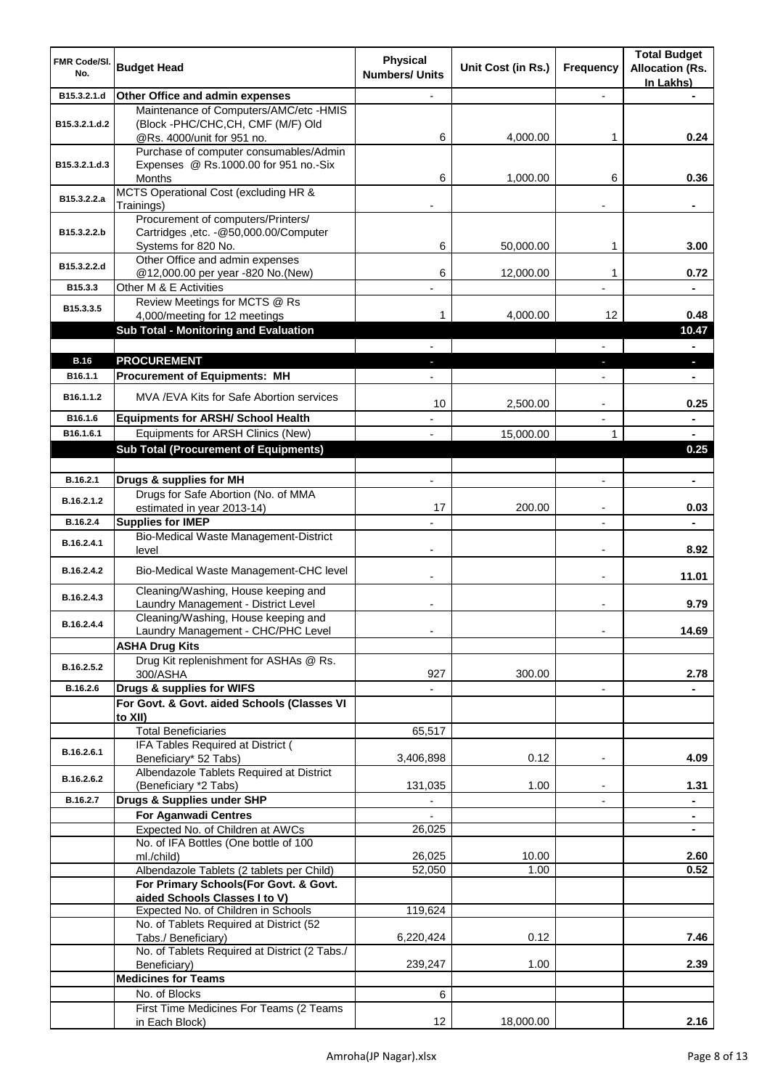| FMR Code/SI.<br>No.    | <b>Budget Head</b>                                                                                             | <b>Physical</b><br><b>Numbers/ Units</b> | Unit Cost (in Rs.) | <b>Frequency</b>         | <b>Total Budget</b><br><b>Allocation (Rs.</b><br>In Lakhs) |
|------------------------|----------------------------------------------------------------------------------------------------------------|------------------------------------------|--------------------|--------------------------|------------------------------------------------------------|
| B15.3.2.1.d            | Other Office and admin expenses                                                                                |                                          |                    |                          |                                                            |
| B15.3.2.1.d.2          | Maintenance of Computers/AMC/etc -HMIS<br>(Block -PHC/CHC,CH, CMF (M/F) Old<br>@Rs. 4000/unit for 951 no.      | 6                                        | 4,000.00           | 1                        | 0.24                                                       |
| B15.3.2.1.d.3          | Purchase of computer consumables/Admin<br>Expenses @ Rs.1000.00 for 951 no.-Six                                |                                          |                    |                          |                                                            |
| B15.3.2.2.a            | Months<br>MCTS Operational Cost (excluding HR &                                                                | 6                                        | 1,000.00           | 6                        | 0.36                                                       |
| B15.3.2.2.b            | Trainings)<br>Procurement of computers/Printers/<br>Cartridges , etc. - @50,000.00/Computer                    |                                          |                    |                          | ۰                                                          |
| B15.3.2.2.d            | Systems for 820 No.<br>Other Office and admin expenses                                                         | 6                                        | 50,000.00          | 1                        | 3.00                                                       |
| B15.3.3                | @12,000.00 per year -820 No.(New)<br>Other M & E Activities                                                    | 6                                        | 12,000.00          | 1                        | 0.72                                                       |
| B15.3.3.5              | Review Meetings for MCTS @ Rs<br>4,000/meeting for 12 meetings<br><b>Sub Total - Monitoring and Evaluation</b> | 1                                        | 4,000.00           | 12                       | 0.48<br>10.47                                              |
|                        |                                                                                                                |                                          |                    |                          | $\blacksquare$                                             |
| <b>B.16</b><br>B16.1.1 | <b>PROCUREMENT</b><br><b>Procurement of Equipments: MH</b>                                                     |                                          |                    | н                        | n,                                                         |
| B16.1.1.2              | MVA / EVA Kits for Safe Abortion services                                                                      | 10                                       | 2,500.00           |                          | 0.25                                                       |
| B16.1.6                | <b>Equipments for ARSH/ School Health</b>                                                                      |                                          |                    |                          | $\blacksquare$                                             |
| B16.1.6.1              | Equipments for ARSH Clinics (New)                                                                              |                                          | 15,000.00          | 1                        |                                                            |
|                        | <b>Sub Total (Procurement of Equipments)</b>                                                                   |                                          |                    |                          | 0.25                                                       |
| B.16.2.1               | Drugs & supplies for MH                                                                                        |                                          |                    | $\overline{a}$           | $\blacksquare$                                             |
|                        | Drugs for Safe Abortion (No. of MMA                                                                            |                                          |                    |                          |                                                            |
| B.16.2.1.2             | estimated in year 2013-14)                                                                                     | 17                                       | 200.00             | $\overline{\phantom{a}}$ | 0.03                                                       |
| B.16.2.4               | <b>Supplies for IMEP</b>                                                                                       |                                          |                    | $\overline{\phantom{a}}$ | $\blacksquare$                                             |
| B.16.2.4.1             | Bio-Medical Waste Management-District<br>level                                                                 |                                          |                    | $\overline{\phantom{a}}$ | 8.92                                                       |
| B.16.2.4.2             | Bio-Medical Waste Management-CHC level                                                                         | -                                        |                    | $\overline{\phantom{a}}$ | 11.01                                                      |
| B.16.2.4.3             | Cleaning/Washing, House keeping and<br>Laundry Management - District Level                                     |                                          |                    |                          | 9.79                                                       |
| B.16.2.4.4             | Cleaning/Washing, House keeping and<br>Laundry Management - CHC/PHC Level                                      | $\blacksquare$                           |                    |                          | 14.69                                                      |
|                        | <b>ASHA Drug Kits</b><br>Drug Kit replenishment for ASHAs @ Rs.                                                |                                          |                    |                          |                                                            |
| B.16.2.5.2             | 300/ASHA                                                                                                       | 927                                      | 300.00             |                          | 2.78                                                       |
| B.16.2.6               | Drugs & supplies for WIFS                                                                                      |                                          |                    |                          |                                                            |
|                        | For Govt. & Govt. aided Schools (Classes VI<br>to XII)                                                         |                                          |                    |                          |                                                            |
|                        | <b>Total Beneficiaries</b>                                                                                     | 65,517                                   |                    |                          |                                                            |
| B.16.2.6.1             | IFA Tables Required at District (<br>Beneficiary* 52 Tabs)                                                     | 3,406,898                                | 0.12               |                          | 4.09                                                       |
| B.16.2.6.2             | Albendazole Tablets Required at District<br>(Beneficiary *2 Tabs)                                              | 131,035                                  | 1.00               | ۰                        | 1.31                                                       |
| B.16.2.7               | Drugs & Supplies under SHP                                                                                     | $\overline{\phantom{a}}$                 |                    |                          | $\blacksquare$                                             |
|                        | <b>For Aganwadi Centres</b>                                                                                    |                                          |                    |                          | ٠                                                          |
|                        | Expected No. of Children at AWCs<br>No. of IFA Bottles (One bottle of 100                                      | 26,025                                   |                    |                          |                                                            |
|                        | ml./child)                                                                                                     | 26,025                                   | 10.00              |                          | 2.60                                                       |
|                        | Albendazole Tablets (2 tablets per Child)                                                                      | 52,050                                   | 1.00               |                          | 0.52                                                       |
|                        | For Primary Schools(For Govt. & Govt.<br>aided Schools Classes I to V)                                         |                                          |                    |                          |                                                            |
|                        | Expected No. of Children in Schools                                                                            | 119,624                                  |                    |                          |                                                            |
|                        | No. of Tablets Required at District (52                                                                        |                                          |                    |                          |                                                            |
|                        | Tabs./ Beneficiary)<br>No. of Tablets Required at District (2 Tabs./                                           | 6,220,424                                | 0.12               |                          | 7.46                                                       |
|                        | Beneficiary)                                                                                                   | 239,247                                  | 1.00               |                          | 2.39                                                       |
|                        | <b>Medicines for Teams</b>                                                                                     |                                          |                    |                          |                                                            |
|                        | No. of Blocks<br>First Time Medicines For Teams (2 Teams                                                       | 6                                        |                    |                          |                                                            |
|                        | in Each Block)                                                                                                 | 12                                       | 18,000.00          |                          | 2.16                                                       |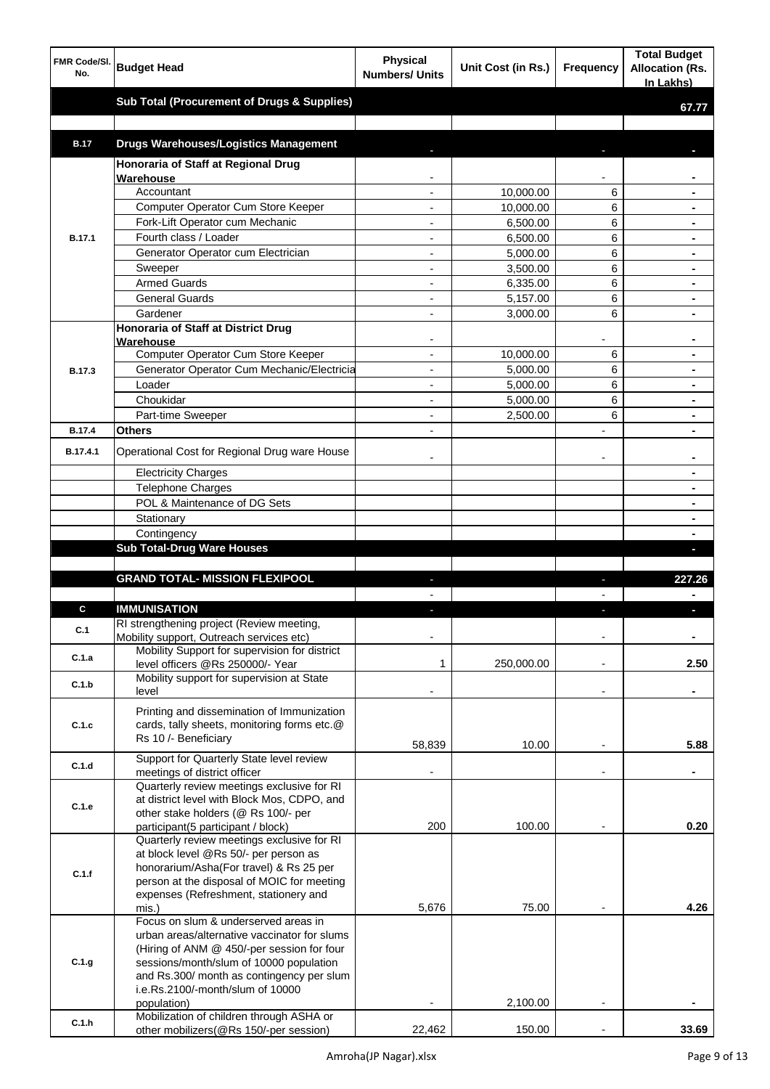| FMR Code/SI.  |                                                                                       | <b>Physical</b>          |                    |                  | <b>Total Budget</b>    |
|---------------|---------------------------------------------------------------------------------------|--------------------------|--------------------|------------------|------------------------|
| No.           | <b>Budget Head</b>                                                                    | <b>Numbers/ Units</b>    | Unit Cost (in Rs.) | <b>Frequency</b> | <b>Allocation (Rs.</b> |
|               |                                                                                       |                          |                    |                  | In Lakhs)              |
|               | <b>Sub Total (Procurement of Drugs &amp; Supplies)</b>                                |                          |                    |                  | 67.77                  |
|               |                                                                                       |                          |                    |                  |                        |
| <b>B.17</b>   | <b>Drugs Warehouses/Logistics Management</b>                                          |                          |                    |                  |                        |
|               | Honoraria of Staff at Regional Drug                                                   |                          |                    |                  |                        |
|               | Warehouse                                                                             |                          |                    |                  |                        |
|               | Accountant                                                                            |                          | 10,000.00          | 6                |                        |
|               | Computer Operator Cum Store Keeper                                                    | $\blacksquare$           | 10,000.00          | 6                |                        |
|               | Fork-Lift Operator cum Mechanic                                                       | $\overline{\phantom{a}}$ | 6,500.00           | 6                | $\blacksquare$         |
| B.17.1        | Fourth class / Loader                                                                 | $\blacksquare$           | 6,500.00           | 6                | $\blacksquare$         |
|               | Generator Operator cum Electrician                                                    | $\overline{\phantom{a}}$ | 5,000.00           | 6                | $\blacksquare$         |
|               | Sweeper                                                                               | $\overline{\phantom{a}}$ | 3,500.00           | 6                | $\blacksquare$         |
|               | <b>Armed Guards</b>                                                                   | $\overline{\phantom{a}}$ | 6,335.00           | 6                | $\blacksquare$         |
|               | <b>General Guards</b>                                                                 |                          | 5,157.00           | 6                | $\blacksquare$         |
|               | Gardener                                                                              |                          | 3,000.00           | 6                | $\blacksquare$         |
|               | <b>Honoraria of Staff at District Drug</b>                                            |                          |                    |                  |                        |
|               | Warehouse<br>Computer Operator Cum Store Keeper                                       | $\overline{\phantom{a}}$ | 10,000.00          | 6                | $\blacksquare$         |
| <b>B.17.3</b> | Generator Operator Cum Mechanic/Electricia                                            | $\blacksquare$           | 5,000.00           | 6                | $\blacksquare$         |
|               | Loader                                                                                | $\overline{\phantom{a}}$ | 5,000.00           | 6                | $\blacksquare$         |
|               | Choukidar                                                                             | $\overline{\phantom{a}}$ | 5,000.00           | 6                | $\blacksquare$         |
|               | Part-time Sweeper                                                                     | $\overline{\phantom{a}}$ | 2,500.00           | 6                | $\blacksquare$         |
| B.17.4        | <b>Others</b>                                                                         |                          |                    |                  | $\blacksquare$         |
|               |                                                                                       |                          |                    |                  |                        |
| B.17.4.1      | Operational Cost for Regional Drug ware House                                         |                          |                    |                  |                        |
|               | <b>Electricity Charges</b>                                                            |                          |                    |                  |                        |
|               | <b>Telephone Charges</b>                                                              |                          |                    |                  |                        |
|               | POL & Maintenance of DG Sets                                                          |                          |                    |                  |                        |
|               | Stationary                                                                            |                          |                    |                  |                        |
|               | Contingency                                                                           |                          |                    |                  |                        |
|               | <b>Sub Total-Drug Ware Houses</b>                                                     |                          |                    |                  | L                      |
|               | <b>GRAND TOTAL- MISSION FLEXIPOOL</b>                                                 | J,                       |                    | ı                | 227.26                 |
|               |                                                                                       |                          |                    |                  |                        |
| C             | <b>IMMUNISATION</b>                                                                   | J,                       |                    | ı                | J,                     |
|               | RI strengthening project (Review meeting,                                             |                          |                    |                  |                        |
| C.1           | Mobility support, Outreach services etc)                                              |                          |                    |                  |                        |
| C.1.a         | Mobility Support for supervision for district                                         |                          |                    |                  |                        |
|               | level officers @Rs 250000/- Year                                                      | 1                        | 250,000.00         | $\overline{a}$   | 2.50                   |
| C.1.b         | Mobility support for supervision at State<br>level                                    |                          |                    |                  |                        |
|               |                                                                                       |                          |                    |                  |                        |
|               | Printing and dissemination of Immunization                                            |                          |                    |                  |                        |
| C.1.c         | cards, tally sheets, monitoring forms etc.@<br>Rs 10 /- Beneficiary                   |                          |                    |                  |                        |
|               |                                                                                       | 58,839                   | 10.00              |                  | 5.88                   |
| C.1.d         | Support for Quarterly State level review                                              |                          |                    |                  |                        |
|               | meetings of district officer<br>Quarterly review meetings exclusive for RI            |                          |                    |                  |                        |
|               | at district level with Block Mos, CDPO, and                                           |                          |                    |                  |                        |
| C.1.e         | other stake holders (@ Rs 100/- per                                                   |                          |                    |                  |                        |
|               | participant(5 participant / block)                                                    | 200                      | 100.00             |                  | 0.20                   |
|               | Quarterly review meetings exclusive for RI                                            |                          |                    |                  |                        |
|               | at block level @Rs 50/- per person as                                                 |                          |                    |                  |                        |
| C.1.f         | honorarium/Asha(For travel) & Rs 25 per<br>person at the disposal of MOIC for meeting |                          |                    |                  |                        |
|               | expenses (Refreshment, stationery and                                                 |                          |                    |                  |                        |
|               | mis.)                                                                                 | 5,676                    | 75.00              |                  | 4.26                   |
|               | Focus on slum & underserved areas in                                                  |                          |                    |                  |                        |
|               | urban areas/alternative vaccinator for slums                                          |                          |                    |                  |                        |
|               | (Hiring of ANM @ 450/-per session for four                                            |                          |                    |                  |                        |
| C.1.g         | sessions/month/slum of 10000 population<br>and Rs.300/ month as contingency per slum  |                          |                    |                  |                        |
|               | i.e.Rs.2100/-month/slum of 10000                                                      |                          |                    |                  |                        |
|               | population)                                                                           |                          | 2,100.00           |                  |                        |
| C.1.h         | Mobilization of children through ASHA or                                              |                          |                    |                  |                        |
|               | other mobilizers(@Rs 150/-per session)                                                | 22,462                   | 150.00             |                  | 33.69                  |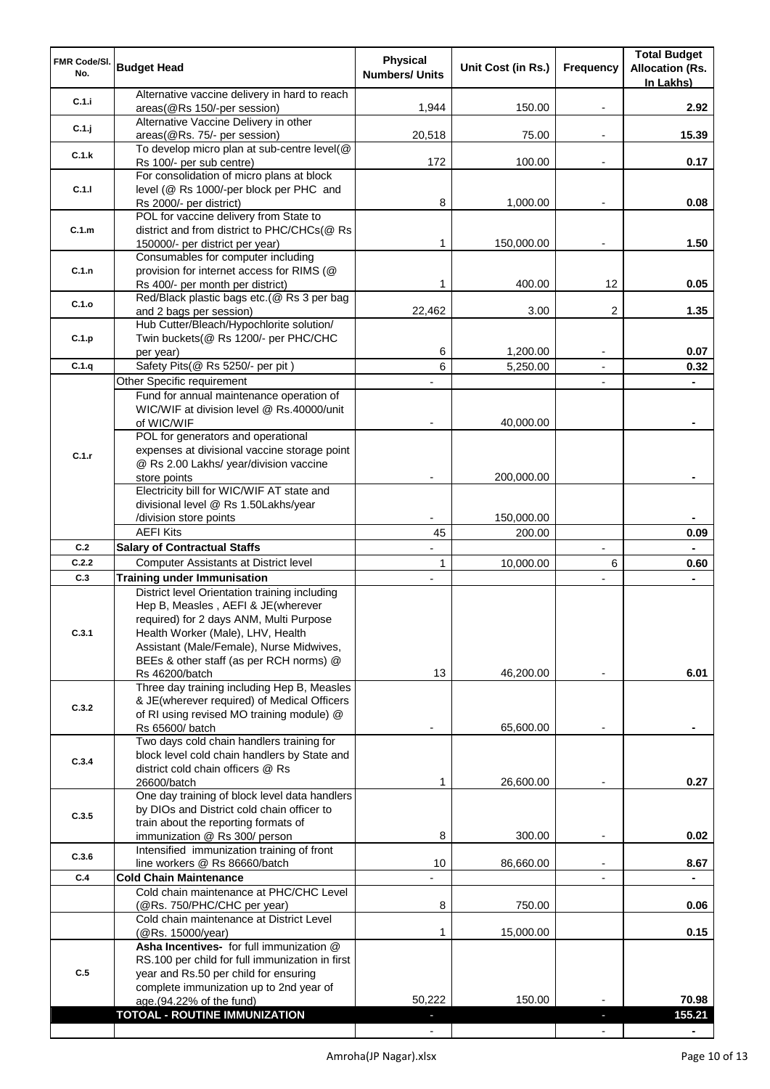| FMR Code/SI.<br>No. | <b>Budget Head</b>                                                                                                                                                                                                                                                           | <b>Physical</b><br><b>Numbers/ Units</b> | Unit Cost (in Rs.) | Frequency      | <b>Total Budget</b><br><b>Allocation (Rs.</b><br>In Lakhs) |
|---------------------|------------------------------------------------------------------------------------------------------------------------------------------------------------------------------------------------------------------------------------------------------------------------------|------------------------------------------|--------------------|----------------|------------------------------------------------------------|
| C.1.i               | Alternative vaccine delivery in hard to reach<br>areas(@Rs 150/-per session)                                                                                                                                                                                                 | 1,944                                    | 150.00             |                | 2.92                                                       |
| C.1.j               | Alternative Vaccine Delivery in other<br>areas(@Rs. 75/- per session)                                                                                                                                                                                                        | 20,518                                   | 75.00              | $\blacksquare$ | 15.39                                                      |
| C.1.k               | To develop micro plan at sub-centre level(@<br>Rs 100/- per sub centre)                                                                                                                                                                                                      | 172                                      | 100.00             | $\blacksquare$ | 0.17                                                       |
| C.1.1               | For consolidation of micro plans at block<br>level (@ Rs 1000/-per block per PHC and                                                                                                                                                                                         |                                          |                    |                |                                                            |
|                     | Rs 2000/- per district)<br>POL for vaccine delivery from State to                                                                                                                                                                                                            | 8                                        | 1,000.00           |                | 0.08                                                       |
| C.1.m               | district and from district to PHC/CHCs(@ Rs<br>150000/- per district per year)                                                                                                                                                                                               | 1                                        | 150,000.00         | $\blacksquare$ | 1.50                                                       |
| C.1.n               | Consumables for computer including<br>provision for internet access for RIMS (@                                                                                                                                                                                              |                                          |                    |                |                                                            |
| C.1.o               | Rs 400/- per month per district)<br>Red/Black plastic bags etc.(@ Rs 3 per bag                                                                                                                                                                                               | 1                                        | 400.00             | 12             | 0.05                                                       |
|                     | and 2 bags per session)<br>Hub Cutter/Bleach/Hypochlorite solution/                                                                                                                                                                                                          | 22,462                                   | 3.00               | 2              | 1.35                                                       |
| C.1.p               | Twin buckets(@ Rs 1200/- per PHC/CHC<br>per year)                                                                                                                                                                                                                            | 6                                        | 1,200.00           | $\blacksquare$ | 0.07                                                       |
| C.1.q               | Safety Pits(@ Rs 5250/- per pit)                                                                                                                                                                                                                                             | 6                                        | 5,250.00           | $\blacksquare$ | 0.32                                                       |
|                     | Other Specific requirement                                                                                                                                                                                                                                                   |                                          |                    |                |                                                            |
|                     | Fund for annual maintenance operation of<br>WIC/WIF at division level @ Rs.40000/unit                                                                                                                                                                                        |                                          |                    |                |                                                            |
|                     | of WIC/WIF<br>POL for generators and operational                                                                                                                                                                                                                             |                                          | 40,000.00          |                |                                                            |
| C.1.r               | expenses at divisional vaccine storage point<br>@ Rs 2.00 Lakhs/ year/division vaccine                                                                                                                                                                                       |                                          |                    |                |                                                            |
|                     | store points<br>Electricity bill for WIC/WIF AT state and                                                                                                                                                                                                                    |                                          | 200,000.00         |                |                                                            |
|                     | divisional level @ Rs 1.50Lakhs/year<br>/division store points                                                                                                                                                                                                               |                                          | 150,000.00         |                |                                                            |
|                     | <b>AEFI Kits</b>                                                                                                                                                                                                                                                             | 45                                       | 200.00             |                | 0.09                                                       |
| C.2                 | <b>Salary of Contractual Staffs</b>                                                                                                                                                                                                                                          |                                          |                    | $\overline{a}$ |                                                            |
| C.2.2               | <b>Computer Assistants at District level</b>                                                                                                                                                                                                                                 | 1                                        | 10,000.00          | 6              | 0.60                                                       |
| C.3                 | <b>Training under Immunisation</b>                                                                                                                                                                                                                                           |                                          |                    |                |                                                            |
| C.3.1               | District level Orientation training including<br>Hep B, Measles, AEFI & JE(wherever<br>required) for 2 days ANM, Multi Purpose<br>Health Worker (Male), LHV, Health<br>Assistant (Male/Female), Nurse Midwives,<br>BEEs & other staff (as per RCH norms) @<br>Rs 46200/batch | 13                                       | 46,200.00          |                | 6.01                                                       |
| C.3.2               | Three day training including Hep B, Measles<br>& JE(wherever required) of Medical Officers<br>of RI using revised MO training module) @<br>Rs 65600/ batch                                                                                                                   |                                          | 65,600.00          |                |                                                            |
| C.3.4               | Two days cold chain handlers training for<br>block level cold chain handlers by State and<br>district cold chain officers @ Rs                                                                                                                                               |                                          |                    |                |                                                            |
|                     | 26600/batch<br>One day training of block level data handlers                                                                                                                                                                                                                 | 1                                        | 26,600.00          |                | 0.27                                                       |
| C.3.5               | by DIOs and District cold chain officer to<br>train about the reporting formats of                                                                                                                                                                                           |                                          |                    |                |                                                            |
| C.3.6               | immunization @ Rs 300/ person<br>Intensified immunization training of front                                                                                                                                                                                                  | 8                                        | 300.00             |                | 0.02                                                       |
|                     | line workers @ Rs 86660/batch                                                                                                                                                                                                                                                | 10                                       | 86,660.00          | $\blacksquare$ | 8.67                                                       |
| C.4                 | <b>Cold Chain Maintenance</b><br>Cold chain maintenance at PHC/CHC Level                                                                                                                                                                                                     |                                          |                    |                |                                                            |
|                     | (@Rs. 750/PHC/CHC per year)                                                                                                                                                                                                                                                  | 8                                        | 750.00             |                | 0.06                                                       |
|                     | Cold chain maintenance at District Level<br>(@Rs. 15000/year)                                                                                                                                                                                                                | 1                                        | 15,000.00          |                | 0.15                                                       |
| C.5                 | Asha Incentives- for full immunization @<br>RS.100 per child for full immunization in first<br>year and Rs.50 per child for ensuring                                                                                                                                         |                                          |                    |                |                                                            |
|                     | complete immunization up to 2nd year of<br>age.(94.22% of the fund)                                                                                                                                                                                                          | 50,222                                   | 150.00             |                | 70.98                                                      |
|                     | TOTOAL - ROUTINE IMMUNIZATION                                                                                                                                                                                                                                                |                                          |                    |                | 155.21                                                     |
|                     |                                                                                                                                                                                                                                                                              |                                          |                    |                |                                                            |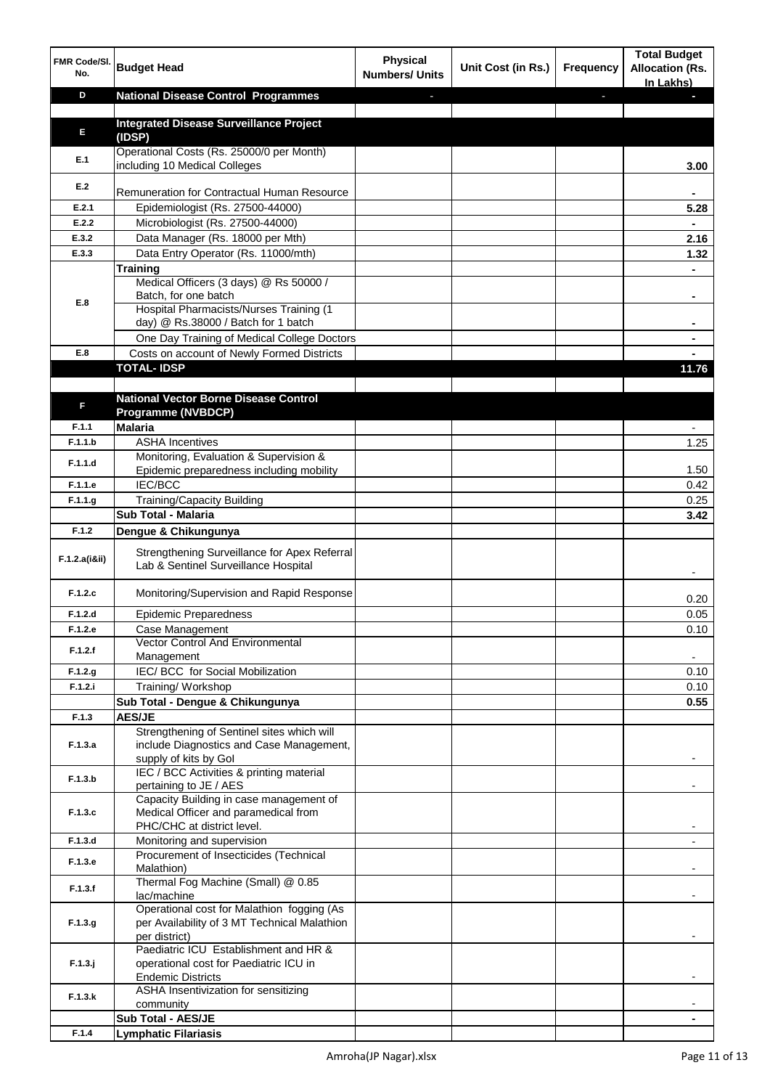| FMR Code/SI.<br>No. | <b>Budget Head</b>                                                                                            | <b>Physical</b><br><b>Numbers/ Units</b> | Unit Cost (in Rs.) | <b>Frequency</b> | <b>Total Budget</b><br><b>Allocation (Rs.</b><br>In Lakhs) |
|---------------------|---------------------------------------------------------------------------------------------------------------|------------------------------------------|--------------------|------------------|------------------------------------------------------------|
| D                   | <b>National Disease Control Programmes</b>                                                                    | ٠                                        |                    | L.               |                                                            |
| E                   | <b>Integrated Disease Surveillance Project</b><br>(IDSP)                                                      |                                          |                    |                  |                                                            |
| E.1                 | Operational Costs (Rs. 25000/0 per Month)<br>including 10 Medical Colleges                                    |                                          |                    |                  | 3.00                                                       |
| E.2                 | Remuneration for Contractual Human Resource                                                                   |                                          |                    |                  |                                                            |
| E.2.1               | Epidemiologist (Rs. 27500-44000)                                                                              |                                          |                    |                  | 5.28                                                       |
| E.2.2               | Microbiologist (Rs. 27500-44000)                                                                              |                                          |                    |                  |                                                            |
| E.3.2<br>E.3.3      | Data Manager (Rs. 18000 per Mth)<br>Data Entry Operator (Rs. 11000/mth)                                       |                                          |                    |                  | 2.16                                                       |
|                     | <b>Training</b>                                                                                               |                                          |                    |                  | 1.32                                                       |
| E.8                 | Medical Officers (3 days) @ Rs 50000 /<br>Batch, for one batch                                                |                                          |                    |                  |                                                            |
|                     | Hospital Pharmacists/Nurses Training (1<br>day) @ Rs.38000 / Batch for 1 batch                                |                                          |                    |                  |                                                            |
|                     | One Day Training of Medical College Doctors                                                                   |                                          |                    |                  |                                                            |
| E.8                 | Costs on account of Newly Formed Districts<br><b>TOTAL-IDSP</b>                                               |                                          |                    |                  |                                                            |
|                     |                                                                                                               |                                          |                    |                  | 11.76                                                      |
| F                   | <b>National Vector Borne Disease Control</b><br><b>Programme (NVBDCP)</b>                                     |                                          |                    |                  |                                                            |
| F.1.1               | <b>Malaria</b>                                                                                                |                                          |                    |                  |                                                            |
| F.1.1.b             | <b>ASHA Incentives</b>                                                                                        |                                          |                    |                  | 1.25                                                       |
| F.1.1.d             | Monitoring, Evaluation & Supervision &<br>Epidemic preparedness including mobility                            |                                          |                    |                  | 1.50                                                       |
| F.1.1.e             | IEC/BCC                                                                                                       |                                          |                    |                  | 0.42                                                       |
| F.1.1.g             | <b>Training/Capacity Building</b>                                                                             |                                          |                    |                  | 0.25                                                       |
|                     | Sub Total - Malaria                                                                                           |                                          |                    |                  | 3.42                                                       |
| F.1.2               | Dengue & Chikungunya                                                                                          |                                          |                    |                  |                                                            |
| F.1.2.a(iⅈ)         | Strengthening Surveillance for Apex Referral<br>Lab & Sentinel Surveillance Hospital                          |                                          |                    |                  |                                                            |
| F.1.2.c             | Monitoring/Supervision and Rapid Response                                                                     |                                          |                    |                  | 0.20                                                       |
| F.1.2.d             | <b>Epidemic Preparedness</b>                                                                                  |                                          |                    |                  | 0.05                                                       |
| F.1.2.e             | Case Management                                                                                               |                                          |                    |                  | 0.10                                                       |
| F.1.2.f             | <b>Vector Control And Environmental</b><br>Management                                                         |                                          |                    |                  |                                                            |
| F.1.2.g             | IEC/BCC for Social Mobilization                                                                               |                                          |                    |                  | 0.10                                                       |
| F.1.2.i             | Training/ Workshop<br>Sub Total - Dengue & Chikungunya                                                        |                                          |                    |                  | 0.10<br>0.55                                               |
| F.1.3               | <b>AES/JE</b>                                                                                                 |                                          |                    |                  |                                                            |
|                     | Strengthening of Sentinel sites which will                                                                    |                                          |                    |                  |                                                            |
| F.1.3.a             | include Diagnostics and Case Management,<br>supply of kits by Gol                                             |                                          |                    |                  |                                                            |
| F.1.3.b             | IEC / BCC Activities & printing material<br>pertaining to JE / AES                                            |                                          |                    |                  |                                                            |
| F.1.3.c             | Capacity Building in case management of<br>Medical Officer and paramedical from<br>PHC/CHC at district level. |                                          |                    |                  |                                                            |
| F.1.3.d             | Monitoring and supervision                                                                                    |                                          |                    |                  | ٠                                                          |
| F.1.3.e             | Procurement of Insecticides (Technical<br>Malathion)                                                          |                                          |                    |                  |                                                            |
| F.1.3.f             | Thermal Fog Machine (Small) @ 0.85<br>lac/machine                                                             |                                          |                    |                  |                                                            |
| F.1.3.g.            | Operational cost for Malathion fogging (As<br>per Availability of 3 MT Technical Malathion<br>per district)   |                                          |                    |                  |                                                            |
| $F.1.3.$ j          | Paediatric ICU Establishment and HR &<br>operational cost for Paediatric ICU in                               |                                          |                    |                  |                                                            |
| F.1.3.k             | <b>Endemic Districts</b><br>ASHA Insentivization for sensitizing                                              |                                          |                    |                  |                                                            |
|                     | community                                                                                                     |                                          |                    |                  |                                                            |
|                     | Sub Total - AES/JE                                                                                            |                                          |                    |                  |                                                            |
| F.1.4               | <b>Lymphatic Filariasis</b>                                                                                   |                                          |                    |                  |                                                            |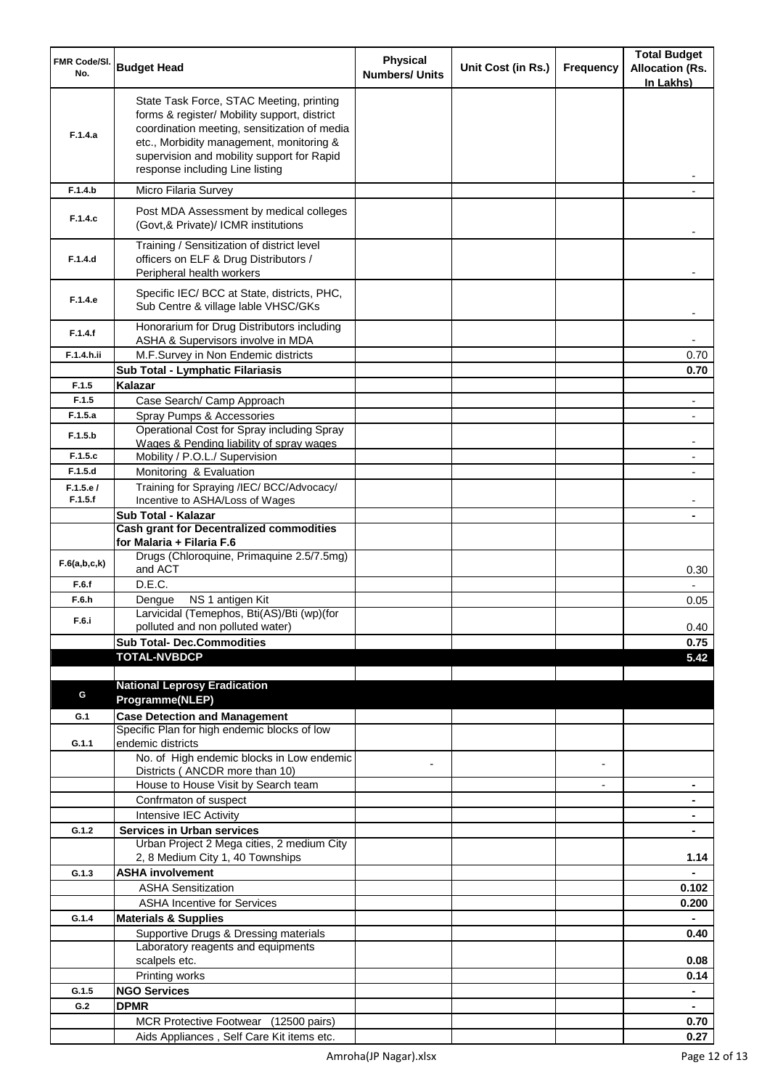| FMR Code/SI.<br>No. | <b>Budget Head</b>                                                                                                                                                                                                                                                    | <b>Physical</b><br><b>Numbers/ Units</b> | Unit Cost (in Rs.) | Frequency                | <b>Total Budget</b><br><b>Allocation (Rs.</b><br>In Lakhs) |
|---------------------|-----------------------------------------------------------------------------------------------------------------------------------------------------------------------------------------------------------------------------------------------------------------------|------------------------------------------|--------------------|--------------------------|------------------------------------------------------------|
| F.1.4.a             | State Task Force, STAC Meeting, printing<br>forms & register/ Mobility support, district<br>coordination meeting, sensitization of media<br>etc., Morbidity management, monitoring &<br>supervision and mobility support for Rapid<br>response including Line listing |                                          |                    |                          |                                                            |
| F.1.4.b             | Micro Filaria Survey                                                                                                                                                                                                                                                  |                                          |                    |                          |                                                            |
| F.1.4.c             | Post MDA Assessment by medical colleges<br>(Govt, & Private)/ ICMR institutions                                                                                                                                                                                       |                                          |                    |                          |                                                            |
| F.1.4.d             | Training / Sensitization of district level<br>officers on ELF & Drug Distributors /<br>Peripheral health workers                                                                                                                                                      |                                          |                    |                          |                                                            |
| F.1.4.e             | Specific IEC/ BCC at State, districts, PHC,<br>Sub Centre & village lable VHSC/GKs                                                                                                                                                                                    |                                          |                    |                          |                                                            |
| F.1.4.f             | Honorarium for Drug Distributors including<br>ASHA & Supervisors involve in MDA                                                                                                                                                                                       |                                          |                    |                          |                                                            |
| F.1.4.h.ii          | M.F.Survey in Non Endemic districts                                                                                                                                                                                                                                   |                                          |                    |                          | 0.70                                                       |
| F.1.5               | Sub Total - Lymphatic Filariasis<br>Kalazar                                                                                                                                                                                                                           |                                          |                    |                          | 0.70                                                       |
| F.1.5               | Case Search/ Camp Approach                                                                                                                                                                                                                                            |                                          |                    |                          |                                                            |
| F.1.5.a             | Spray Pumps & Accessories                                                                                                                                                                                                                                             |                                          |                    |                          |                                                            |
| F.1.5.b             | Operational Cost for Spray including Spray<br>Wages & Pending liability of spray wages                                                                                                                                                                                |                                          |                    |                          |                                                            |
| F.1.5.c             | Mobility / P.O.L./ Supervision                                                                                                                                                                                                                                        |                                          |                    |                          |                                                            |
| F.1.5.d             | Monitoring & Evaluation                                                                                                                                                                                                                                               |                                          |                    |                          |                                                            |
| F.1.5.e/<br>F.1.5.f | Training for Spraying /IEC/ BCC/Advocacy/                                                                                                                                                                                                                             |                                          |                    |                          |                                                            |
|                     | Incentive to ASHA/Loss of Wages<br>Sub Total - Kalazar                                                                                                                                                                                                                |                                          |                    |                          |                                                            |
|                     | <b>Cash grant for Decentralized commodities</b><br>for Malaria + Filaria F.6                                                                                                                                                                                          |                                          |                    |                          |                                                            |
| F.6(a,b,c,k)        | Drugs (Chloroquine, Primaquine 2.5/7.5mg)<br>and ACT                                                                                                                                                                                                                  |                                          |                    |                          | 0.30                                                       |
| F.6.f               | D.E.C.                                                                                                                                                                                                                                                                |                                          |                    |                          |                                                            |
| F.6.h               | NS 1 antigen Kit<br>Dengue<br>Larvicidal (Temephos, Bti(AS)/Bti (wp)(for                                                                                                                                                                                              |                                          |                    |                          | 0.05                                                       |
| F.6.i               | polluted and non polluted water)                                                                                                                                                                                                                                      |                                          |                    |                          | 0.40                                                       |
|                     | <b>Sub Total- Dec.Commodities</b>                                                                                                                                                                                                                                     |                                          |                    |                          | 0.75                                                       |
|                     | <b>TOTAL-NVBDCP</b>                                                                                                                                                                                                                                                   |                                          |                    |                          | 5.42                                                       |
|                     |                                                                                                                                                                                                                                                                       |                                          |                    |                          |                                                            |
| G                   | <b>National Leprosy Eradication</b><br>Programme(NLEP)                                                                                                                                                                                                                |                                          |                    |                          |                                                            |
| G.1                 | <b>Case Detection and Management</b>                                                                                                                                                                                                                                  |                                          |                    |                          |                                                            |
|                     | Specific Plan for high endemic blocks of low                                                                                                                                                                                                                          |                                          |                    |                          |                                                            |
| G.1.1               | endemic districts                                                                                                                                                                                                                                                     |                                          |                    |                          |                                                            |
|                     | No. of High endemic blocks in Low endemic<br>Districts (ANCDR more than 10)                                                                                                                                                                                           |                                          |                    | $\overline{a}$           |                                                            |
|                     | House to House Visit by Search team                                                                                                                                                                                                                                   |                                          |                    | $\overline{\phantom{a}}$ | ۰                                                          |
|                     | Confrmaton of suspect                                                                                                                                                                                                                                                 |                                          |                    |                          | ۰                                                          |
|                     | Intensive IEC Activity                                                                                                                                                                                                                                                |                                          |                    |                          |                                                            |
| G.1.2               | <b>Services in Urban services</b><br>Urban Project 2 Mega cities, 2 medium City                                                                                                                                                                                       |                                          |                    |                          |                                                            |
|                     | 2, 8 Medium City 1, 40 Townships                                                                                                                                                                                                                                      |                                          |                    |                          | 1.14                                                       |
| G.1.3               | <b>ASHA involvement</b>                                                                                                                                                                                                                                               |                                          |                    |                          |                                                            |
|                     | <b>ASHA Sensitization</b>                                                                                                                                                                                                                                             |                                          |                    |                          | 0.102                                                      |
|                     | <b>ASHA Incentive for Services</b>                                                                                                                                                                                                                                    |                                          |                    |                          | 0.200                                                      |
| G.1.4               | <b>Materials &amp; Supplies</b>                                                                                                                                                                                                                                       |                                          |                    |                          |                                                            |
|                     | Supportive Drugs & Dressing materials<br>Laboratory reagents and equipments<br>scalpels etc.                                                                                                                                                                          |                                          |                    |                          | 0.40<br>0.08                                               |
|                     | Printing works                                                                                                                                                                                                                                                        |                                          |                    |                          | 0.14                                                       |
| G.1.5               | <b>NGO Services</b>                                                                                                                                                                                                                                                   |                                          |                    |                          | ٠                                                          |
| G.2                 | <b>DPMR</b>                                                                                                                                                                                                                                                           |                                          |                    |                          |                                                            |
|                     | MCR Protective Footwear (12500 pairs)                                                                                                                                                                                                                                 |                                          |                    |                          | 0.70                                                       |
|                     | Aids Appliances, Self Care Kit items etc.                                                                                                                                                                                                                             |                                          |                    |                          | 0.27                                                       |